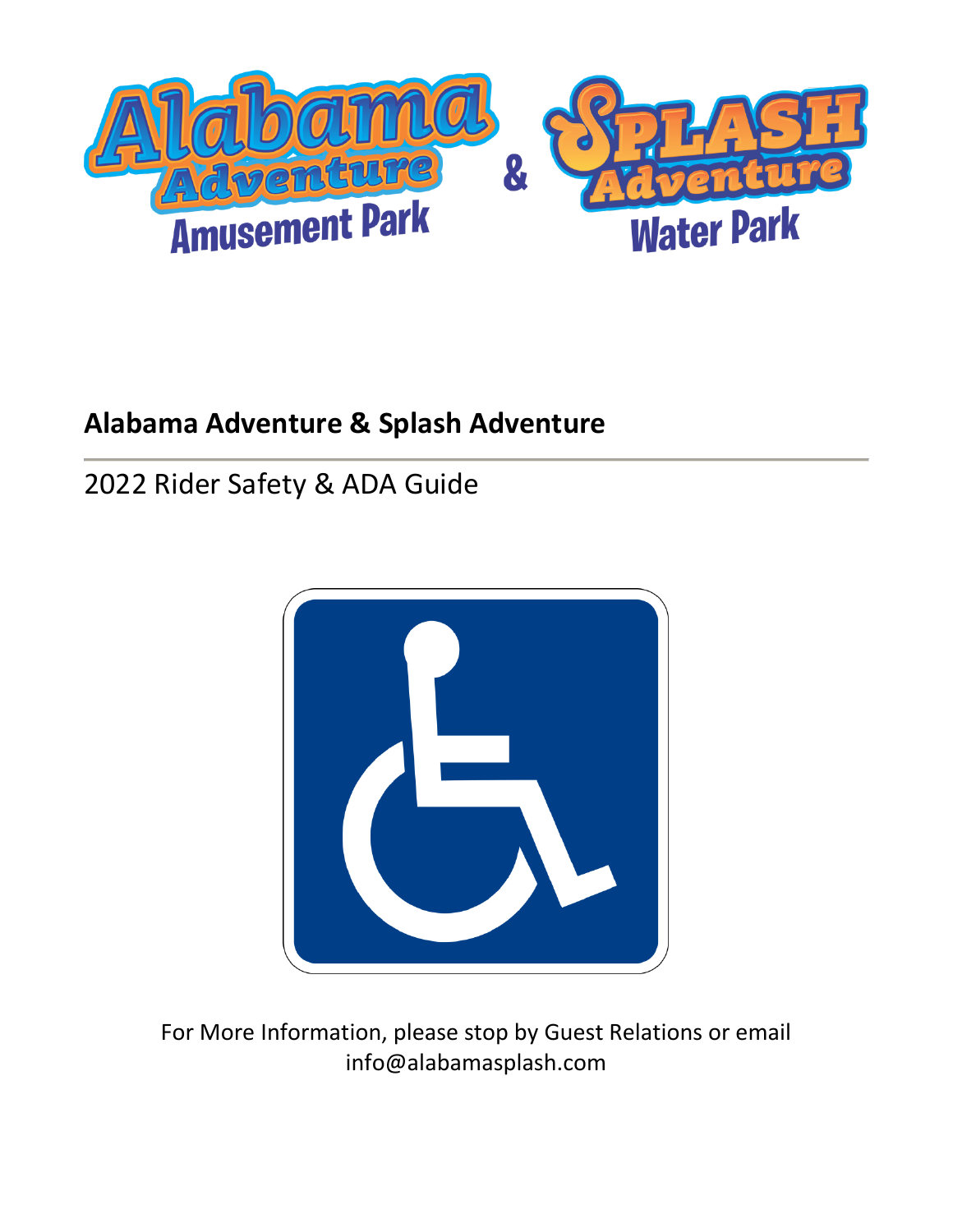

# **Alabama Adventure & Splash Adventure**

# 2022 Rider Safety & ADA Guide



For More Information, please stop by Guest Relations or email info@alabamasplash.com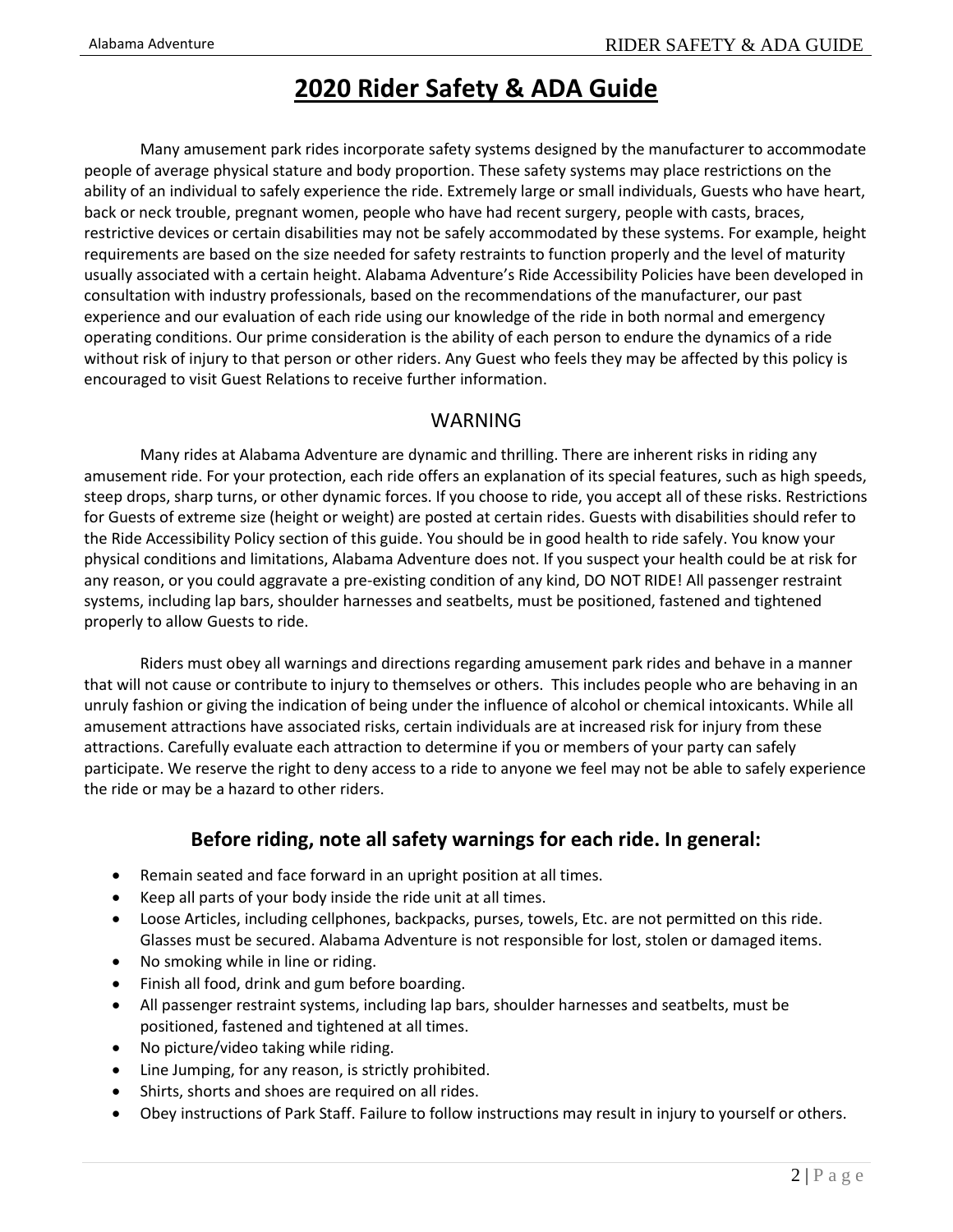### **2020 Rider Safety & ADA Guide**

Many amusement park rides incorporate safety systems designed by the manufacturer to accommodate people of average physical stature and body proportion. These safety systems may place restrictions on the ability of an individual to safely experience the ride. Extremely large or small individuals, Guests who have heart, back or neck trouble, pregnant women, people who have had recent surgery, people with casts, braces, restrictive devices or certain disabilities may not be safely accommodated by these systems. For example, height requirements are based on the size needed for safety restraints to function properly and the level of maturity usually associated with a certain height. Alabama Adventure's Ride Accessibility Policies have been developed in consultation with industry professionals, based on the recommendations of the manufacturer, our past experience and our evaluation of each ride using our knowledge of the ride in both normal and emergency operating conditions. Our prime consideration is the ability of each person to endure the dynamics of a ride without risk of injury to that person or other riders. Any Guest who feels they may be affected by this policy is encouraged to visit Guest Relations to receive further information.

#### **WARNING**

Many rides at Alabama Adventure are dynamic and thrilling. There are inherent risks in riding any amusement ride. For your protection, each ride offers an explanation of its special features, such as high speeds, steep drops, sharp turns, or other dynamic forces. If you choose to ride, you accept all of these risks. Restrictions for Guests of extreme size (height or weight) are posted at certain rides. Guests with disabilities should refer to the Ride Accessibility Policy section of this guide. You should be in good health to ride safely. You know your physical conditions and limitations, Alabama Adventure does not. If you suspect your health could be at risk for any reason, or you could aggravate a pre-existing condition of any kind, DO NOT RIDE! All passenger restraint systems, including lap bars, shoulder harnesses and seatbelts, must be positioned, fastened and tightened properly to allow Guests to ride.

Riders must obey all warnings and directions regarding amusement park rides and behave in a manner that will not cause or contribute to injury to themselves or others. This includes people who are behaving in an unruly fashion or giving the indication of being under the influence of alcohol or chemical intoxicants. While all amusement attractions have associated risks, certain individuals are at increased risk for injury from these attractions. Carefully evaluate each attraction to determine if you or members of your party can safely participate. We reserve the right to deny access to a ride to anyone we feel may not be able to safely experience the ride or may be a hazard to other riders.

### **Before riding, note all safety warnings for each ride. In general:**

- Remain seated and face forward in an upright position at all times.
- Keep all parts of your body inside the ride unit at all times.
- Loose Articles, including cellphones, backpacks, purses, towels, Etc. are not permitted on this ride. Glasses must be secured. Alabama Adventure is not responsible for lost, stolen or damaged items.
- No smoking while in line or riding.
- Finish all food, drink and gum before boarding.
- All passenger restraint systems, including lap bars, shoulder harnesses and seatbelts, must be positioned, fastened and tightened at all times.
- No picture/video taking while riding.
- Line Jumping, for any reason, is strictly prohibited.
- Shirts, shorts and shoes are required on all rides.
- Obey instructions of Park Staff. Failure to follow instructions may result in injury to yourself or others.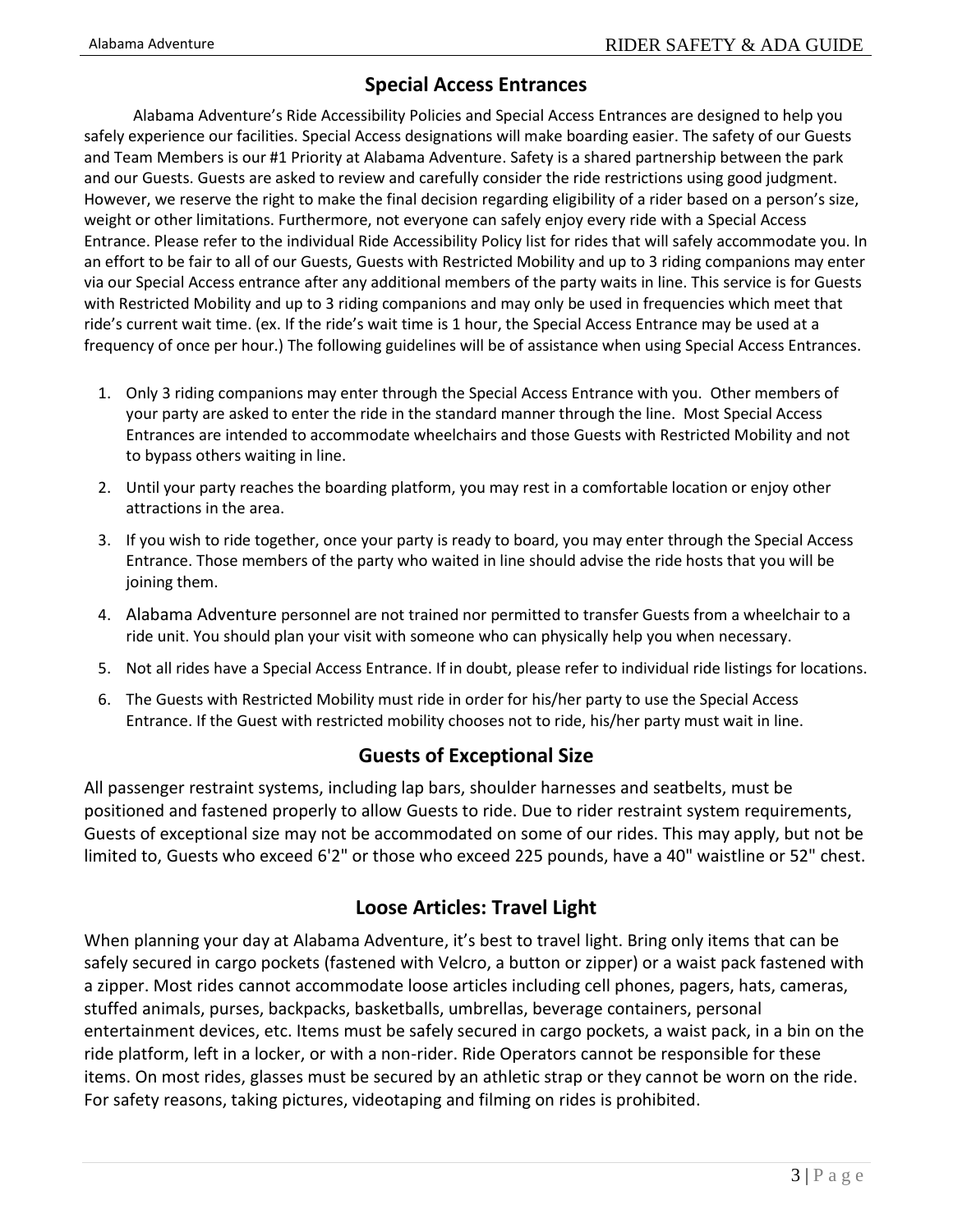### **Special Access Entrances**

Alabama Adventure's Ride Accessibility Policies and Special Access Entrances are designed to help you safely experience our facilities. Special Access designations will make boarding easier. The safety of our Guests and Team Members is our #1 Priority at Alabama Adventure. Safety is a shared partnership between the park and our Guests. Guests are asked to review and carefully consider the ride restrictions using good judgment. However, we reserve the right to make the final decision regarding eligibility of a rider based on a person's size, weight or other limitations. Furthermore, not everyone can safely enjoy every ride with a Special Access Entrance. Please refer to the individual Ride Accessibility Policy list for rides that will safely accommodate you. In an effort to be fair to all of our Guests, Guests with Restricted Mobility and up to 3 riding companions may enter via our Special Access entrance after any additional members of the party waits in line. This service is for Guests with Restricted Mobility and up to 3 riding companions and may only be used in frequencies which meet that ride's current wait time. (ex. If the ride's wait time is 1 hour, the Special Access Entrance may be used at a frequency of once per hour.) The following guidelines will be of assistance when using Special Access Entrances.

- 1. Only 3 riding companions may enter through the Special Access Entrance with you. Other members of your party are asked to enter the ride in the standard manner through the line. Most Special Access Entrances are intended to accommodate wheelchairs and those Guests with Restricted Mobility and not to bypass others waiting in line.
- 2. Until your party reaches the boarding platform, you may rest in a comfortable location or enjoy other attractions in the area.
- 3. If you wish to ride together, once your party is ready to board, you may enter through the Special Access Entrance. Those members of the party who waited in line should advise the ride hosts that you will be joining them.
- 4. Alabama Adventure personnel are not trained nor permitted to transfer Guests from a wheelchair to a ride unit. You should plan your visit with someone who can physically help you when necessary.
- 5. Not all rides have a Special Access Entrance. If in doubt, please refer to individual ride listings for locations.
- 6. The Guests with Restricted Mobility must ride in order for his/her party to use the Special Access Entrance. If the Guest with restricted mobility chooses not to ride, his/her party must wait in line.

#### **Guests of Exceptional Size**

All passenger restraint systems, including lap bars, shoulder harnesses and seatbelts, must be positioned and fastened properly to allow Guests to ride. Due to rider restraint system requirements, Guests of exceptional size may not be accommodated on some of our rides. This may apply, but not be limited to, Guests who exceed 6'2" or those who exceed 225 pounds, have a 40" waistline or 52" chest.

### **Loose Articles: Travel Light**

When planning your day at Alabama Adventure, it's best to travel light. Bring only items that can be safely secured in cargo pockets (fastened with Velcro, a button or zipper) or a waist pack fastened with a zipper. Most rides cannot accommodate loose articles including cell phones, pagers, hats, cameras, stuffed animals, purses, backpacks, basketballs, umbrellas, beverage containers, personal entertainment devices, etc. Items must be safely secured in cargo pockets, a waist pack, in a bin on the ride platform, left in a locker, or with a non-rider. Ride Operators cannot be responsible for these items. On most rides, glasses must be secured by an athletic strap or they cannot be worn on the ride. For safety reasons, taking pictures, videotaping and filming on rides is prohibited.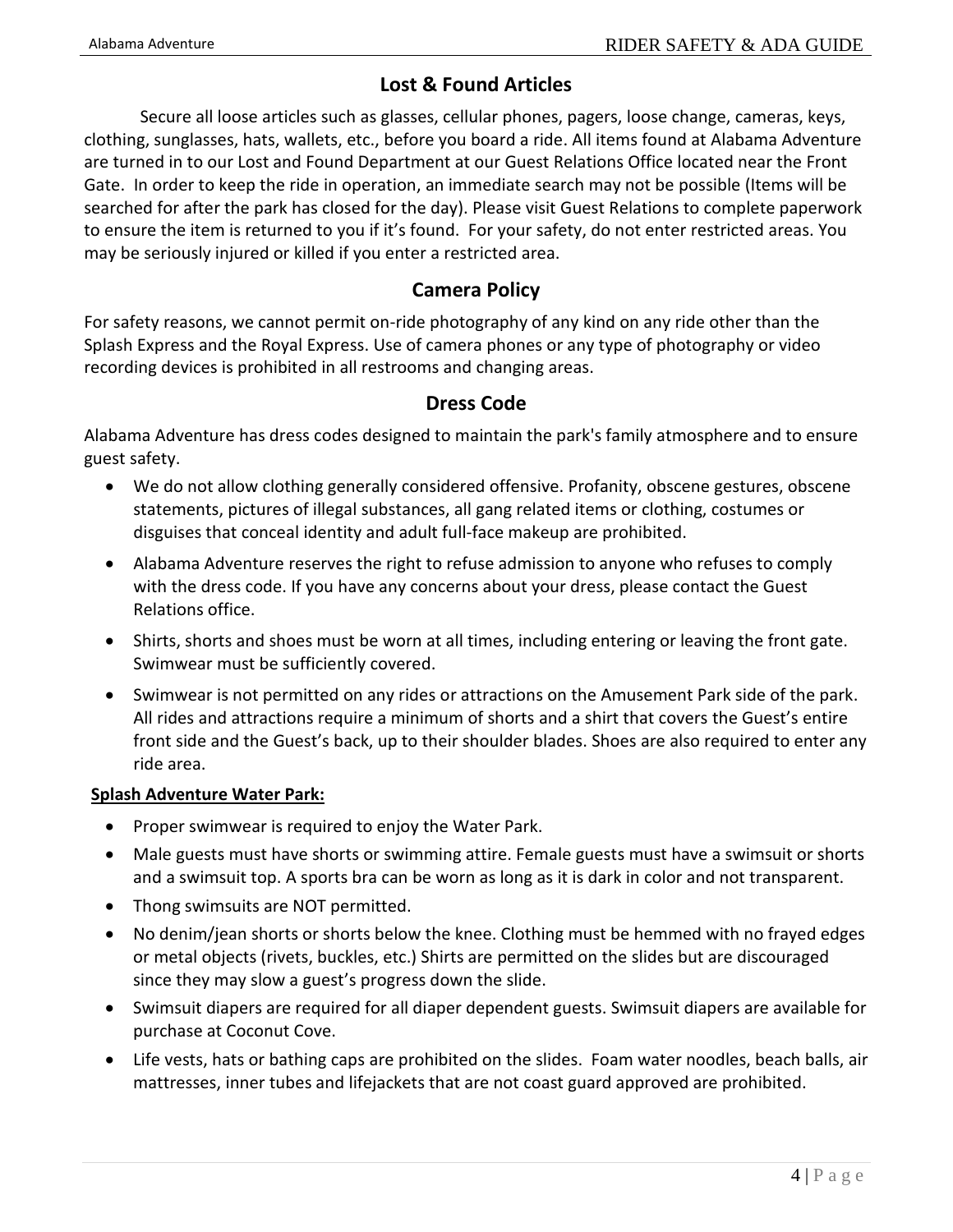### **Lost & Found Articles**

Secure all loose articles such as glasses, cellular phones, pagers, loose change, cameras, keys, clothing, sunglasses, hats, wallets, etc., before you board a ride. All items found at Alabama Adventure are turned in to our Lost and Found Department at our Guest Relations Office located near the Front Gate. In order to keep the ride in operation, an immediate search may not be possible (Items will be searched for after the park has closed for the day). Please visit Guest Relations to complete paperwork to ensure the item is returned to you if it's found. For your safety, do not enter restricted areas. You may be seriously injured or killed if you enter a restricted area.

#### **Camera Policy**

For safety reasons, we cannot permit on-ride photography of any kind on any ride other than the Splash Express and the Royal Express. Use of camera phones or any type of photography or video recording devices is prohibited in all restrooms and changing areas.

#### **Dress Code**

Alabama Adventure has dress codes designed to maintain the park's family atmosphere and to ensure guest safety.

- We do not allow clothing generally considered offensive. Profanity, obscene gestures, obscene statements, pictures of illegal substances, all gang related items or clothing, costumes or disguises that conceal identity and adult full-face makeup are prohibited.
- Alabama Adventure reserves the right to refuse admission to anyone who refuses to comply with the dress code. If you have any concerns about your dress, please contact the Guest Relations office.
- Shirts, shorts and shoes must be worn at all times, including entering or leaving the front gate. Swimwear must be sufficiently covered.
- Swimwear is not permitted on any rides or attractions on the Amusement Park side of the park. All rides and attractions require a minimum of shorts and a shirt that covers the Guest's entire front side and the Guest's back, up to their shoulder blades. Shoes are also required to enter any ride area.

#### **Splash Adventure Water Park:**

- Proper swimwear is required to enjoy the Water Park.
- Male guests must have shorts or swimming attire. Female guests must have a swimsuit or shorts and a swimsuit top. A sports bra can be worn as long as it is dark in color and not transparent.
- Thong swimsuits are NOT permitted.
- No denim/jean shorts or shorts below the knee. Clothing must be hemmed with no frayed edges or metal objects (rivets, buckles, etc.) Shirts are permitted on the slides but are discouraged since they may slow a guest's progress down the slide.
- Swimsuit diapers are required for all diaper dependent guests. Swimsuit diapers are available for purchase at Coconut Cove.
- Life vests, hats or bathing caps are prohibited on the slides. Foam water noodles, beach balls, air mattresses, inner tubes and lifejackets that are not coast guard approved are prohibited.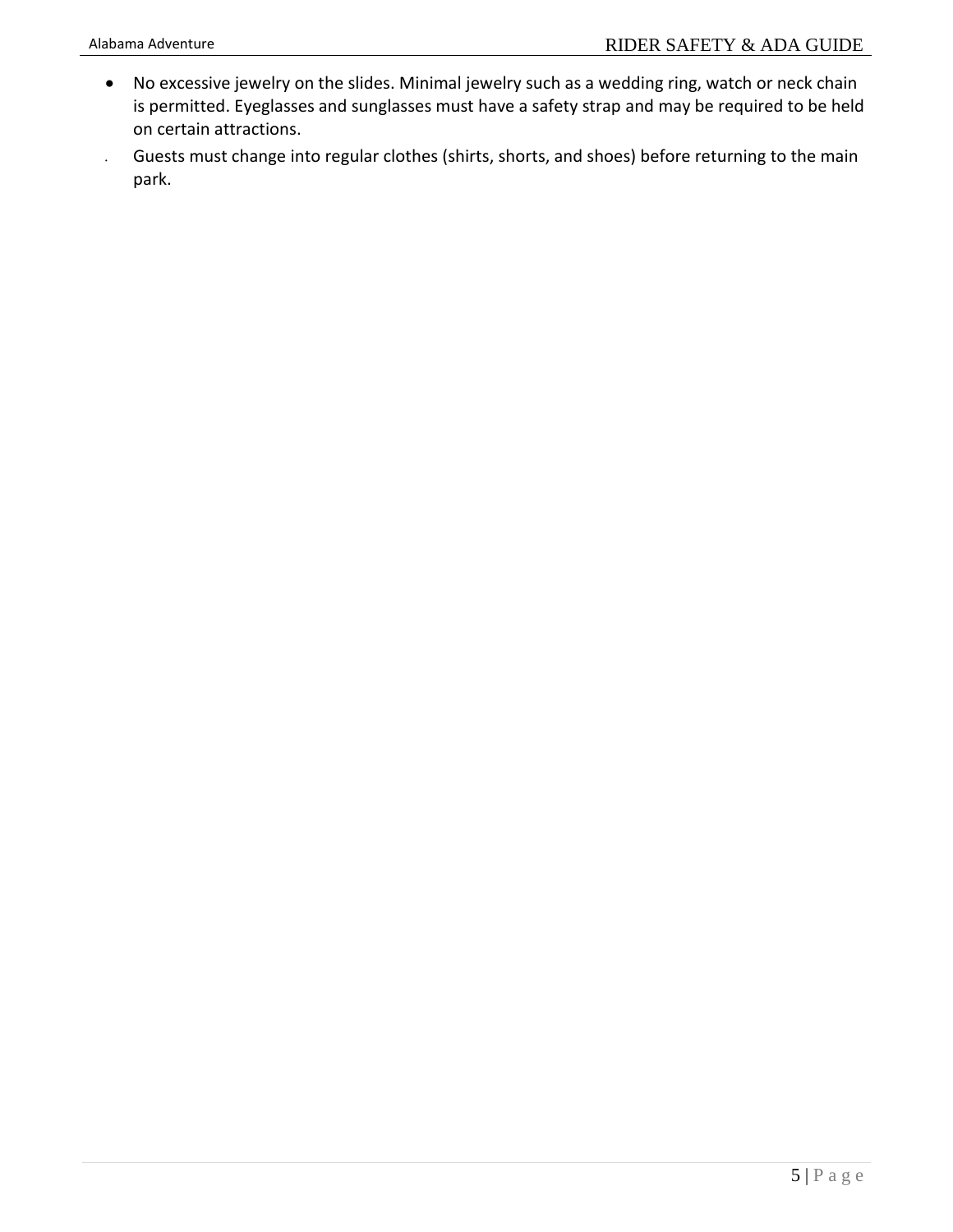- No excessive jewelry on the slides. Minimal jewelry such as a wedding ring, watch or neck chain is permitted. Eyeglasses and sunglasses must have a safety strap and may be required to be held on certain attractions.
- Guests must change into regular clothes (shirts, shorts, and shoes) before returning to the main park.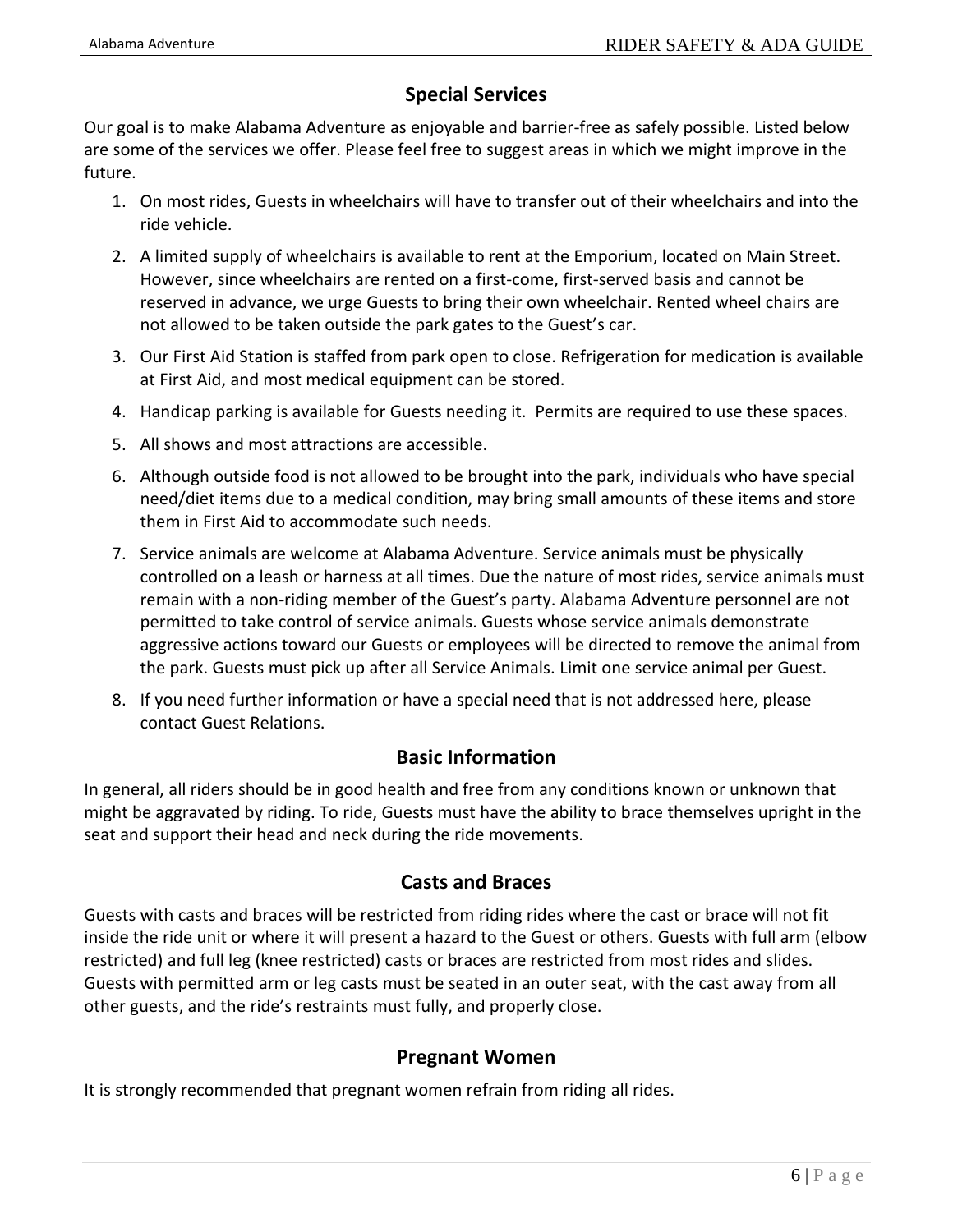### **Special Services**

Our goal is to make Alabama Adventure as enjoyable and barrier-free as safely possible. Listed below are some of the services we offer. Please feel free to suggest areas in which we might improve in the future.

- 1. On most rides, Guests in wheelchairs will have to transfer out of their wheelchairs and into the ride vehicle.
- 2. A limited supply of wheelchairs is available to rent at the Emporium, located on Main Street. However, since wheelchairs are rented on a first-come, first-served basis and cannot be reserved in advance, we urge Guests to bring their own wheelchair. Rented wheel chairs are not allowed to be taken outside the park gates to the Guest's car.
- 3. Our First Aid Station is staffed from park open to close. Refrigeration for medication is available at First Aid, and most medical equipment can be stored.
- 4. Handicap parking is available for Guests needing it. Permits are required to use these spaces.
- 5. All shows and most attractions are accessible.
- 6. Although outside food is not allowed to be brought into the park, individuals who have special need/diet items due to a medical condition, may bring small amounts of these items and store them in First Aid to accommodate such needs.
- 7. Service animals are welcome at Alabama Adventure. Service animals must be physically controlled on a leash or harness at all times. Due the nature of most rides, service animals must remain with a non-riding member of the Guest's party. Alabama Adventure personnel are not permitted to take control of service animals. Guests whose service animals demonstrate aggressive actions toward our Guests or employees will be directed to remove the animal from the park. Guests must pick up after all Service Animals. Limit one service animal per Guest.
- 8. If you need further information or have a special need that is not addressed here, please contact Guest Relations.

### **Basic Information**

In general, all riders should be in good health and free from any conditions known or unknown that might be aggravated by riding. To ride, Guests must have the ability to brace themselves upright in the seat and support their head and neck during the ride movements.

#### **Casts and Braces**

Guests with casts and braces will be restricted from riding rides where the cast or brace will not fit inside the ride unit or where it will present a hazard to the Guest or others. Guests with full arm (elbow restricted) and full leg (knee restricted) casts or braces are restricted from most rides and slides. Guests with permitted arm or leg casts must be seated in an outer seat, with the cast away from all other guests, and the ride's restraints must fully, and properly close.

#### **Pregnant Women**

It is strongly recommended that pregnant women refrain from riding all rides.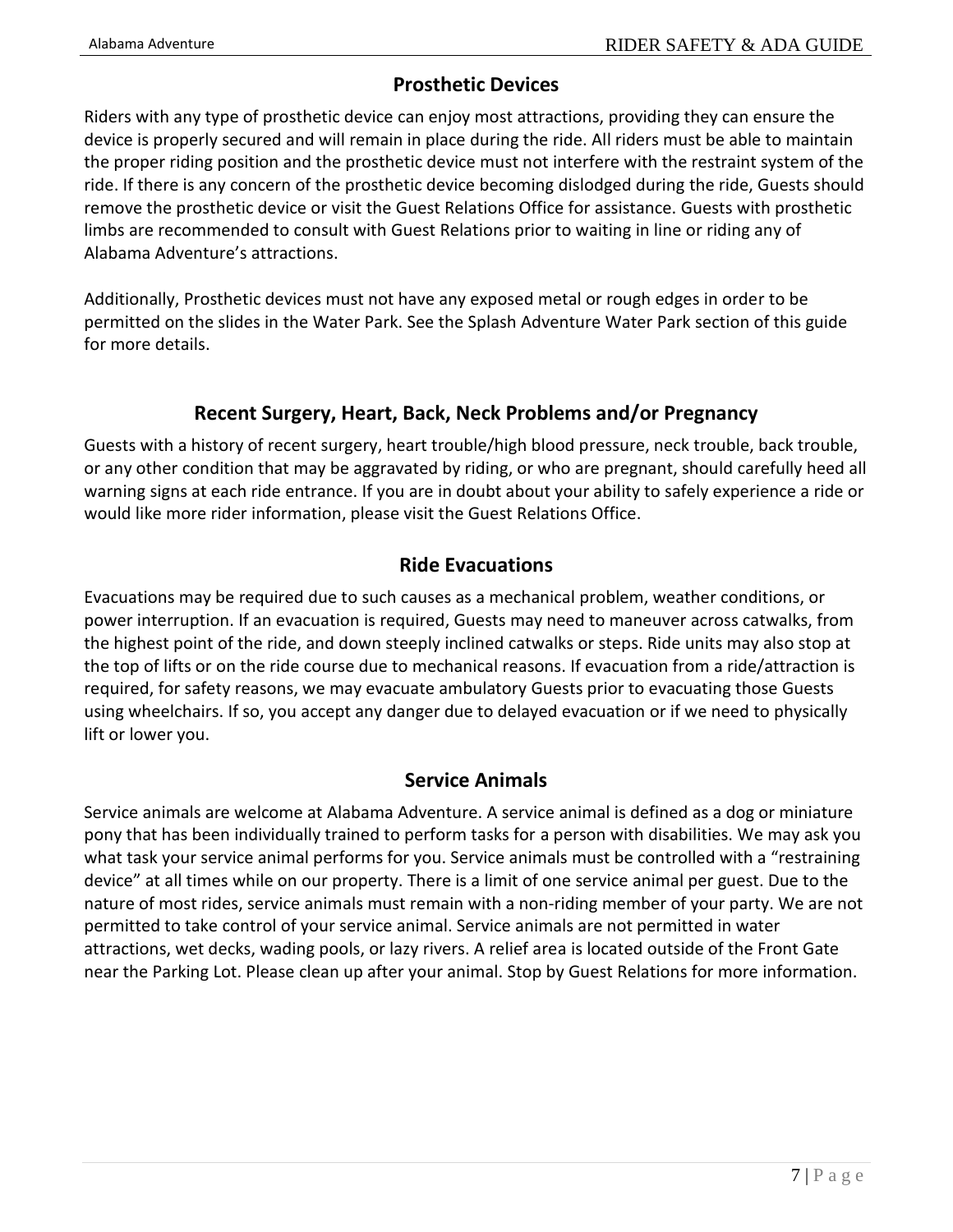### **Prosthetic Devices**

Riders with any type of prosthetic device can enjoy most attractions, providing they can ensure the device is properly secured and will remain in place during the ride. All riders must be able to maintain the proper riding position and the prosthetic device must not interfere with the restraint system of the ride. If there is any concern of the prosthetic device becoming dislodged during the ride, Guests should remove the prosthetic device or visit the Guest Relations Office for assistance. Guests with prosthetic limbs are recommended to consult with Guest Relations prior to waiting in line or riding any of Alabama Adventure's attractions.

Additionally, Prosthetic devices must not have any exposed metal or rough edges in order to be permitted on the slides in the Water Park. See the Splash Adventure Water Park section of this guide for more details.

### **Recent Surgery, Heart, Back, Neck Problems and/or Pregnancy**

Guests with a history of recent surgery, heart trouble/high blood pressure, neck trouble, back trouble, or any other condition that may be aggravated by riding, or who are pregnant, should carefully heed all warning signs at each ride entrance. If you are in doubt about your ability to safely experience a ride or would like more rider information, please visit the Guest Relations Office.

### **Ride Evacuations**

Evacuations may be required due to such causes as a mechanical problem, weather conditions, or power interruption. If an evacuation is required, Guests may need to maneuver across catwalks, from the highest point of the ride, and down steeply inclined catwalks or steps. Ride units may also stop at the top of lifts or on the ride course due to mechanical reasons. If evacuation from a ride/attraction is required, for safety reasons, we may evacuate ambulatory Guests prior to evacuating those Guests using wheelchairs. If so, you accept any danger due to delayed evacuation or if we need to physically lift or lower you.

#### **Service Animals**

Service animals are welcome at Alabama Adventure. A service animal is defined as a dog or miniature pony that has been individually trained to perform tasks for a person with disabilities. We may ask you what task your service animal performs for you. Service animals must be controlled with a "restraining device" at all times while on our property. There is a limit of one service animal per guest. Due to the nature of most rides, service animals must remain with a non-riding member of your party. We are not permitted to take control of your service animal. Service animals are not permitted in water attractions, wet decks, wading pools, or lazy rivers. A relief area is located outside of the Front Gate near the Parking Lot. Please clean up after your animal. Stop by Guest Relations for more information.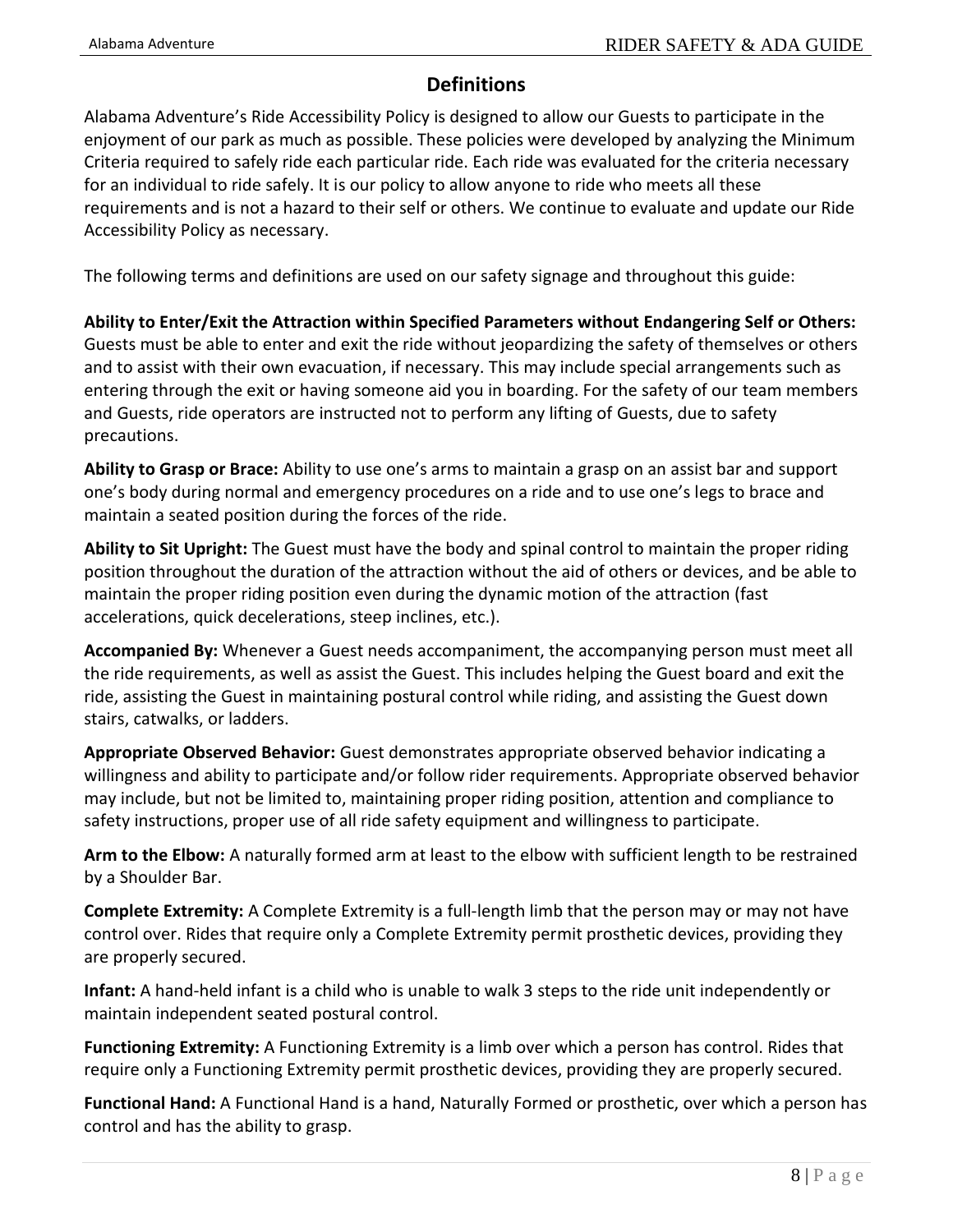### **Definitions**

Alabama Adventure's Ride Accessibility Policy is designed to allow our Guests to participate in the enjoyment of our park as much as possible. These policies were developed by analyzing the Minimum Criteria required to safely ride each particular ride. Each ride was evaluated for the criteria necessary for an individual to ride safely. It is our policy to allow anyone to ride who meets all these requirements and is not a hazard to their self or others. We continue to evaluate and update our Ride Accessibility Policy as necessary.

The following terms and definitions are used on our safety signage and throughout this guide:

**Ability to Enter/Exit the Attraction within Specified Parameters without Endangering Self or Others:**  Guests must be able to enter and exit the ride without jeopardizing the safety of themselves or others and to assist with their own evacuation, if necessary. This may include special arrangements such as entering through the exit or having someone aid you in boarding. For the safety of our team members and Guests, ride operators are instructed not to perform any lifting of Guests, due to safety precautions.

**Ability to Grasp or Brace:** Ability to use one's arms to maintain a grasp on an assist bar and support one's body during normal and emergency procedures on a ride and to use one's legs to brace and maintain a seated position during the forces of the ride.

**Ability to Sit Upright:** The Guest must have the body and spinal control to maintain the proper riding position throughout the duration of the attraction without the aid of others or devices, and be able to maintain the proper riding position even during the dynamic motion of the attraction (fast accelerations, quick decelerations, steep inclines, etc.).

**Accompanied By:** Whenever a Guest needs accompaniment, the accompanying person must meet all the ride requirements, as well as assist the Guest. This includes helping the Guest board and exit the ride, assisting the Guest in maintaining postural control while riding, and assisting the Guest down stairs, catwalks, or ladders.

**Appropriate Observed Behavior:** Guest demonstrates appropriate observed behavior indicating a willingness and ability to participate and/or follow rider requirements. Appropriate observed behavior may include, but not be limited to, maintaining proper riding position, attention and compliance to safety instructions, proper use of all ride safety equipment and willingness to participate.

**Arm to the Elbow:** A naturally formed arm at least to the elbow with sufficient length to be restrained by a Shoulder Bar.

**Complete Extremity:** A Complete Extremity is a full-length limb that the person may or may not have control over. Rides that require only a Complete Extremity permit prosthetic devices, providing they are properly secured.

**Infant:** A hand-held infant is a child who is unable to walk 3 steps to the ride unit independently or maintain independent seated postural control.

**Functioning Extremity:** A Functioning Extremity is a limb over which a person has control. Rides that require only a Functioning Extremity permit prosthetic devices, providing they are properly secured.

**Functional Hand:** A Functional Hand is a hand, Naturally Formed or prosthetic, over which a person has control and has the ability to grasp.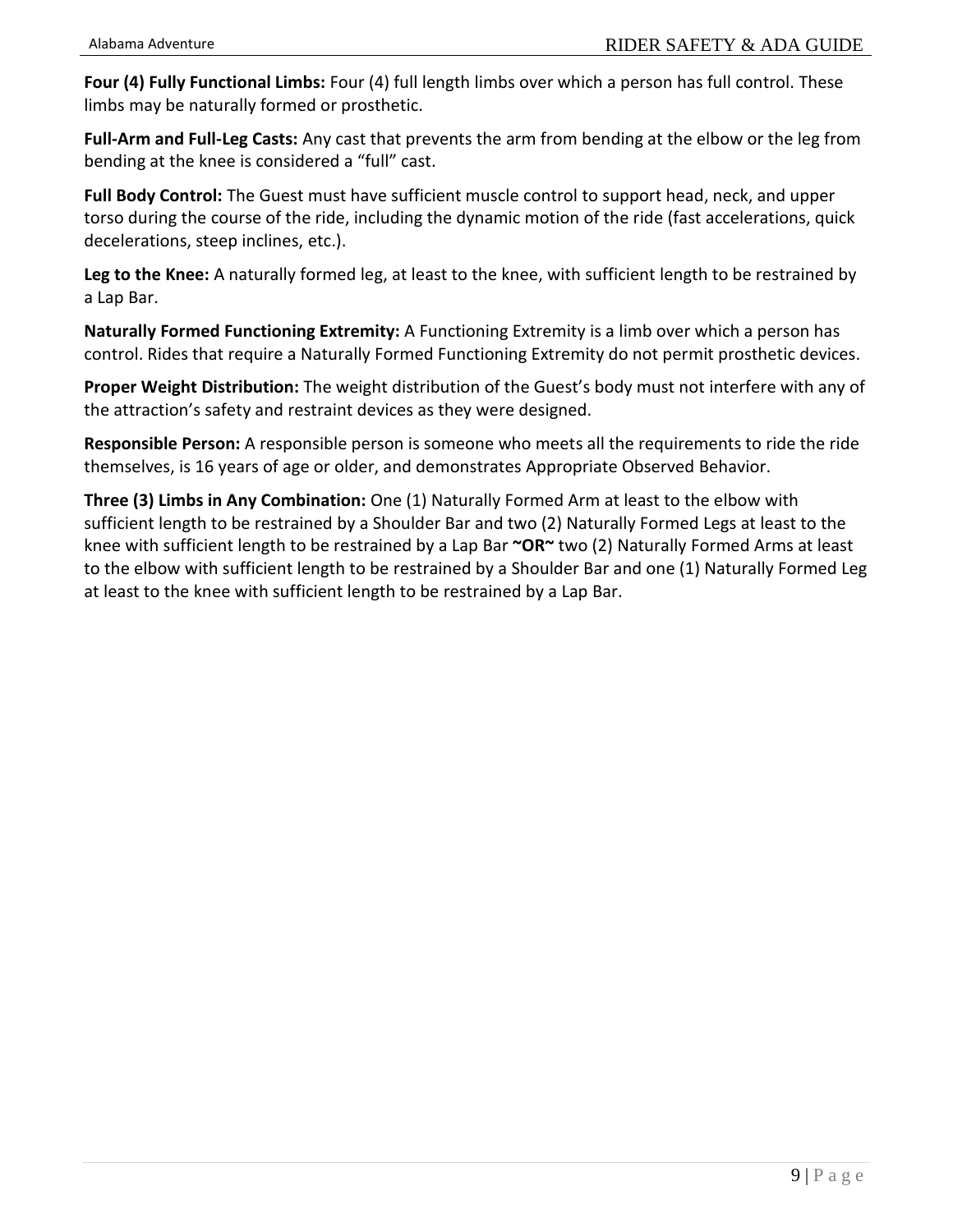**Four (4) Fully Functional Limbs:** Four (4) full length limbs over which a person has full control. These limbs may be naturally formed or prosthetic.

**Full-Arm and Full-Leg Casts:** Any cast that prevents the arm from bending at the elbow or the leg from bending at the knee is considered a "full" cast.

**Full Body Control:** The Guest must have sufficient muscle control to support head, neck, and upper torso during the course of the ride, including the dynamic motion of the ride (fast accelerations, quick decelerations, steep inclines, etc.).

**Leg to the Knee:** A naturally formed leg, at least to the knee, with sufficient length to be restrained by a Lap Bar.

**Naturally Formed Functioning Extremity:** A Functioning Extremity is a limb over which a person has control. Rides that require a Naturally Formed Functioning Extremity do not permit prosthetic devices.

**Proper Weight Distribution:** The weight distribution of the Guest's body must not interfere with any of the attraction's safety and restraint devices as they were designed.

**Responsible Person:** A responsible person is someone who meets all the requirements to ride the ride themselves, is 16 years of age or older, and demonstrates Appropriate Observed Behavior.

**Three (3) Limbs in Any Combination:** One (1) Naturally Formed Arm at least to the elbow with sufficient length to be restrained by a Shoulder Bar and two (2) Naturally Formed Legs at least to the knee with sufficient length to be restrained by a Lap Bar **~OR~** two (2) Naturally Formed Arms at least to the elbow with sufficient length to be restrained by a Shoulder Bar and one (1) Naturally Formed Leg at least to the knee with sufficient length to be restrained by a Lap Bar.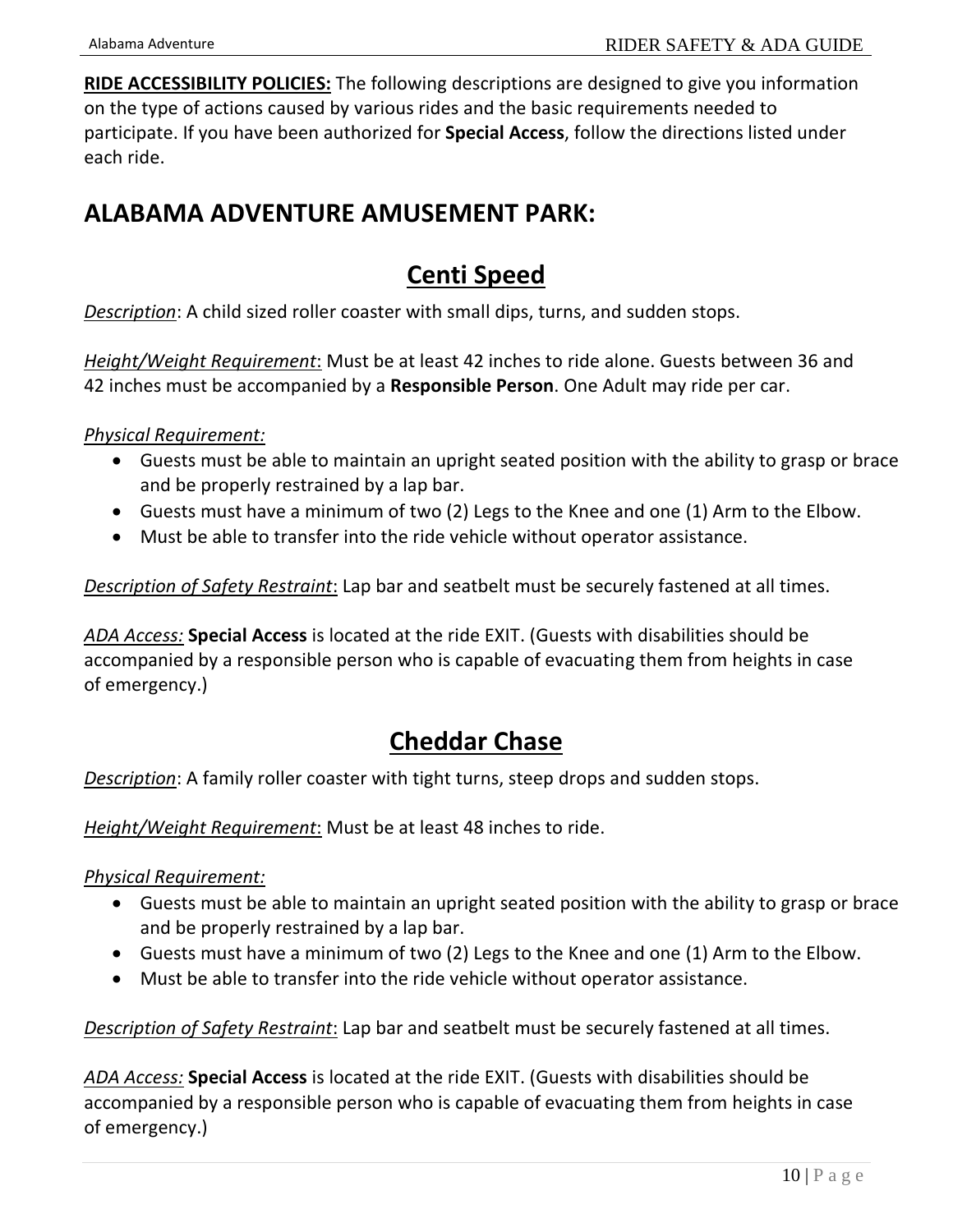**RIDE ACCESSIBILITY POLICIES:** The following descriptions are designed to give you information on the type of actions caused by various rides and the basic requirements needed to participate. If you have been authorized for **Special Access**, follow the directions listed under each ride.

### **ALABAMA ADVENTURE AMUSEMENT PARK:**

### **Centi Speed**

*Description*: A child sized roller coaster with small dips, turns, and sudden stops.

*Height/Weight Requirement*: Must be at least 42 inches to ride alone. Guests between 36 and 42 inches must be accompanied by a **Responsible Person**. One Adult may ride per car.

#### *Physical Requirement:*

- Guests must be able to maintain an upright seated position with the ability to grasp or brace and be properly restrained by a lap bar.
- Guests must have a minimum of two (2) Legs to the Knee and one (1) Arm to the Elbow.
- Must be able to transfer into the ride vehicle without operator assistance.

*Description of Safety Restraint*: Lap bar and seatbelt must be securely fastened at all times.

*ADA Access:* **Special Access** is located at the ride EXIT. (Guests with disabilities should be accompanied by a responsible person who is capable of evacuating them from heights in case of emergency.)

### **Cheddar Chase**

*Description*: A family roller coaster with tight turns, steep drops and sudden stops.

*Height/Weight Requirement*: Must be at least 48 inches to ride.

*Physical Requirement:* 

- Guests must be able to maintain an upright seated position with the ability to grasp or brace and be properly restrained by a lap bar.
- Guests must have a minimum of two (2) Legs to the Knee and one (1) Arm to the Elbow.
- Must be able to transfer into the ride vehicle without operator assistance.

*Description of Safety Restraint*: Lap bar and seatbelt must be securely fastened at all times.

*ADA Access:* **Special Access** is located at the ride EXIT. (Guests with disabilities should be accompanied by a responsible person who is capable of evacuating them from heights in case of emergency.)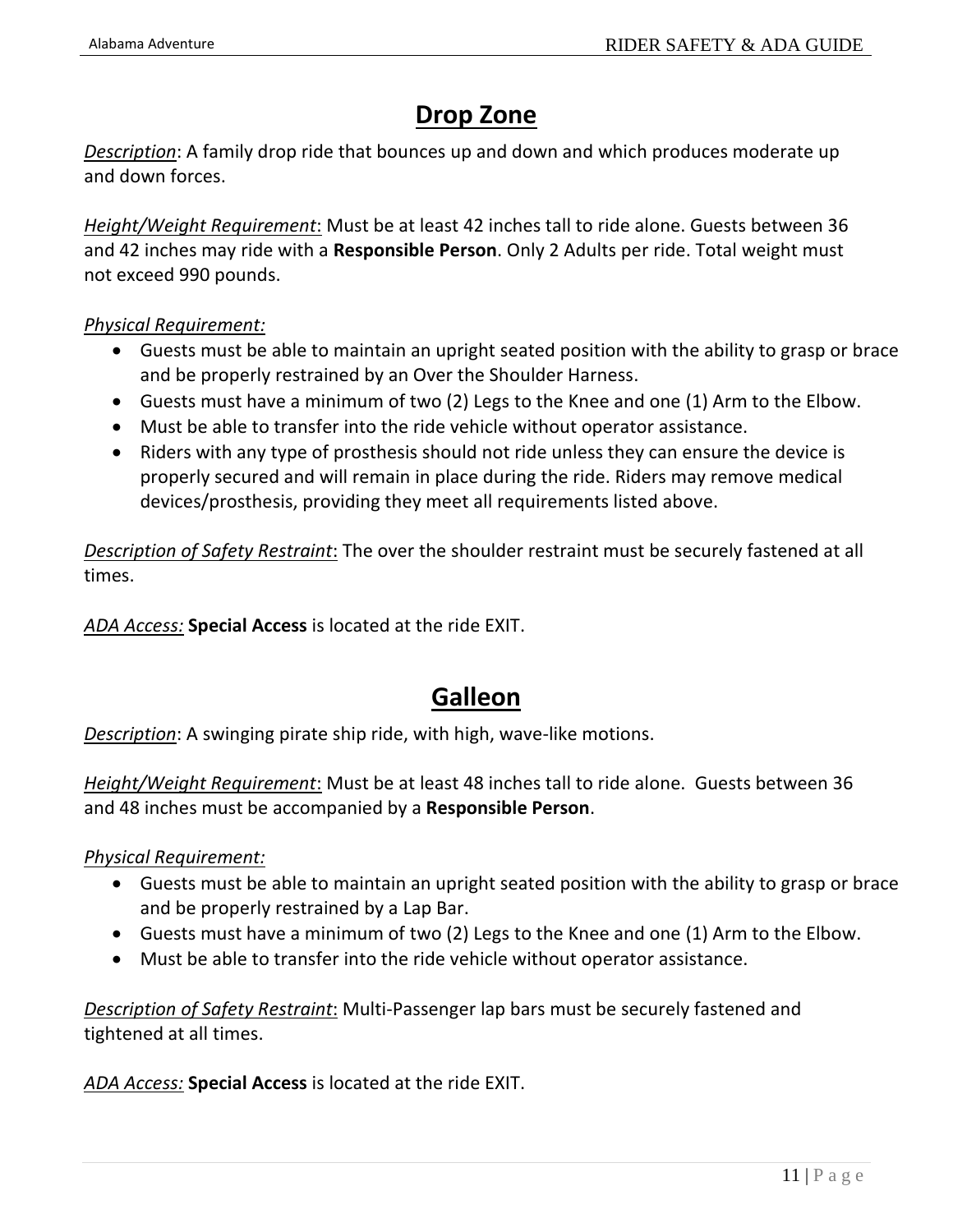## **Drop Zone**

*Description*: A family drop ride that bounces up and down and which produces moderate up and down forces.

*Height/Weight Requirement*: Must be at least 42 inches tall to ride alone. Guests between 36 and 42 inches may ride with a **Responsible Person**. Only 2 Adults per ride. Total weight must not exceed 990 pounds.

#### *Physical Requirement:*

- Guests must be able to maintain an upright seated position with the ability to grasp or brace and be properly restrained by an Over the Shoulder Harness.
- Guests must have a minimum of two (2) Legs to the Knee and one (1) Arm to the Elbow.
- Must be able to transfer into the ride vehicle without operator assistance.
- Riders with any type of prosthesis should not ride unless they can ensure the device is properly secured and will remain in place during the ride. Riders may remove medical devices/prosthesis, providing they meet all requirements listed above.

*Description of Safety Restraint*: The over the shoulder restraint must be securely fastened at all times.

*ADA Access:* **Special Access** is located at the ride EXIT.

## **Galleon**

*Description*: A swinging pirate ship ride, with high, wave-like motions.

*Height/Weight Requirement*: Must be at least 48 inches tall to ride alone. Guests between 36 and 48 inches must be accompanied by a **Responsible Person**.

#### *Physical Requirement:*

- Guests must be able to maintain an upright seated position with the ability to grasp or brace and be properly restrained by a Lap Bar.
- Guests must have a minimum of two (2) Legs to the Knee and one (1) Arm to the Elbow.
- Must be able to transfer into the ride vehicle without operator assistance.

*Description of Safety Restraint*: Multi-Passenger lap bars must be securely fastened and tightened at all times.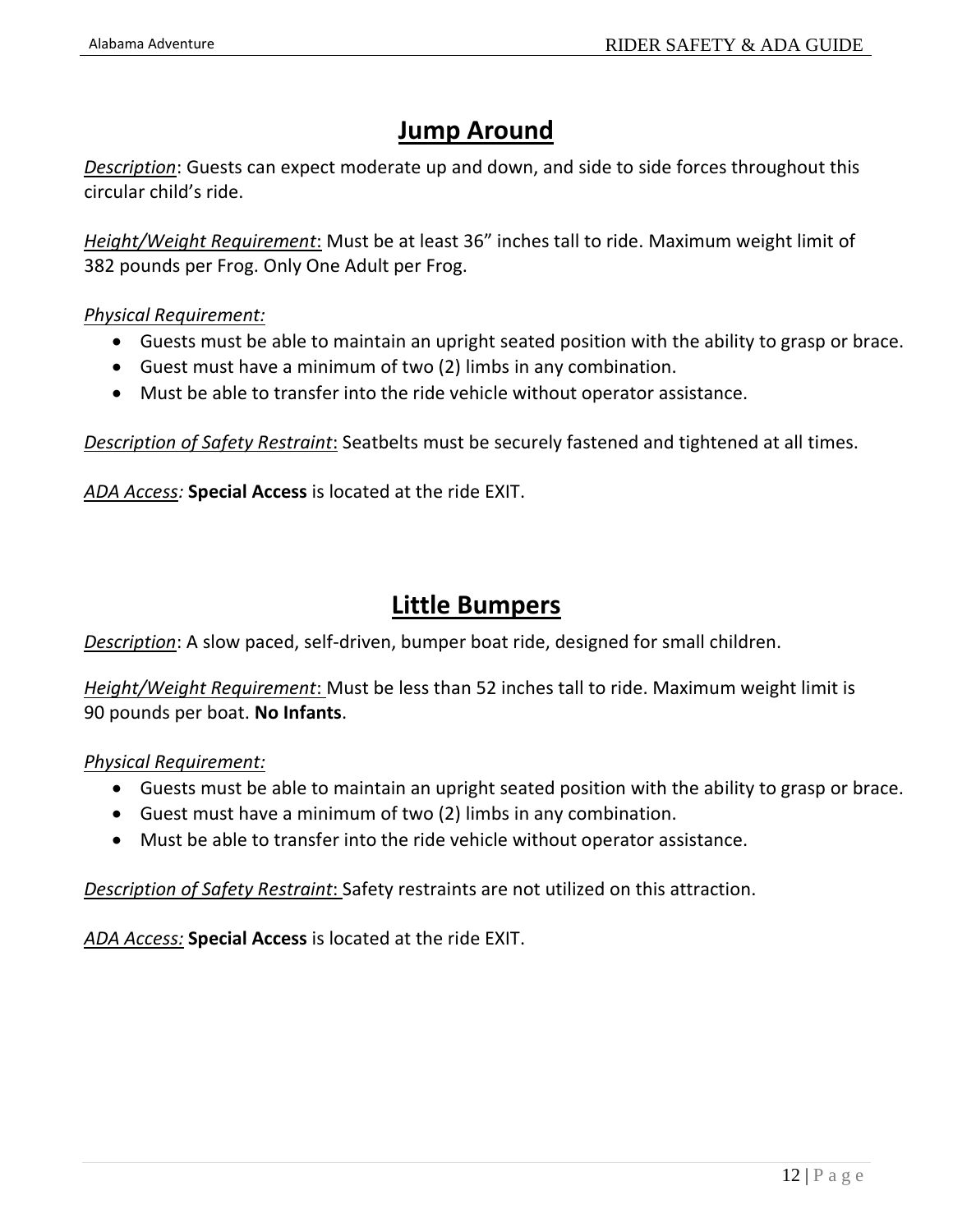## **Jump Around**

*Description*: Guests can expect moderate up and down, and side to side forces throughout this circular child's ride.

*Height/Weight Requirement*: Must be at least 36" inches tall to ride. Maximum weight limit of 382 pounds per Frog. Only One Adult per Frog.

#### *Physical Requirement:*

- Guests must be able to maintain an upright seated position with the ability to grasp or brace.
- Guest must have a minimum of two (2) limbs in any combination.
- Must be able to transfer into the ride vehicle without operator assistance.

*Description of Safety Restraint*: Seatbelts must be securely fastened and tightened at all times.

*ADA Access:* **Special Access** is located at the ride EXIT.

### **Little Bumpers**

*Description*: A slow paced, self-driven, bumper boat ride, designed for small children.

*Height/Weight Requirement*: Must be less than 52 inches tall to ride. Maximum weight limit is 90 pounds per boat. **No Infants**.

#### *Physical Requirement:*

- Guests must be able to maintain an upright seated position with the ability to grasp or brace.
- Guest must have a minimum of two (2) limbs in any combination.
- Must be able to transfer into the ride vehicle without operator assistance.

*Description of Safety Restraint*: Safety restraints are not utilized on this attraction.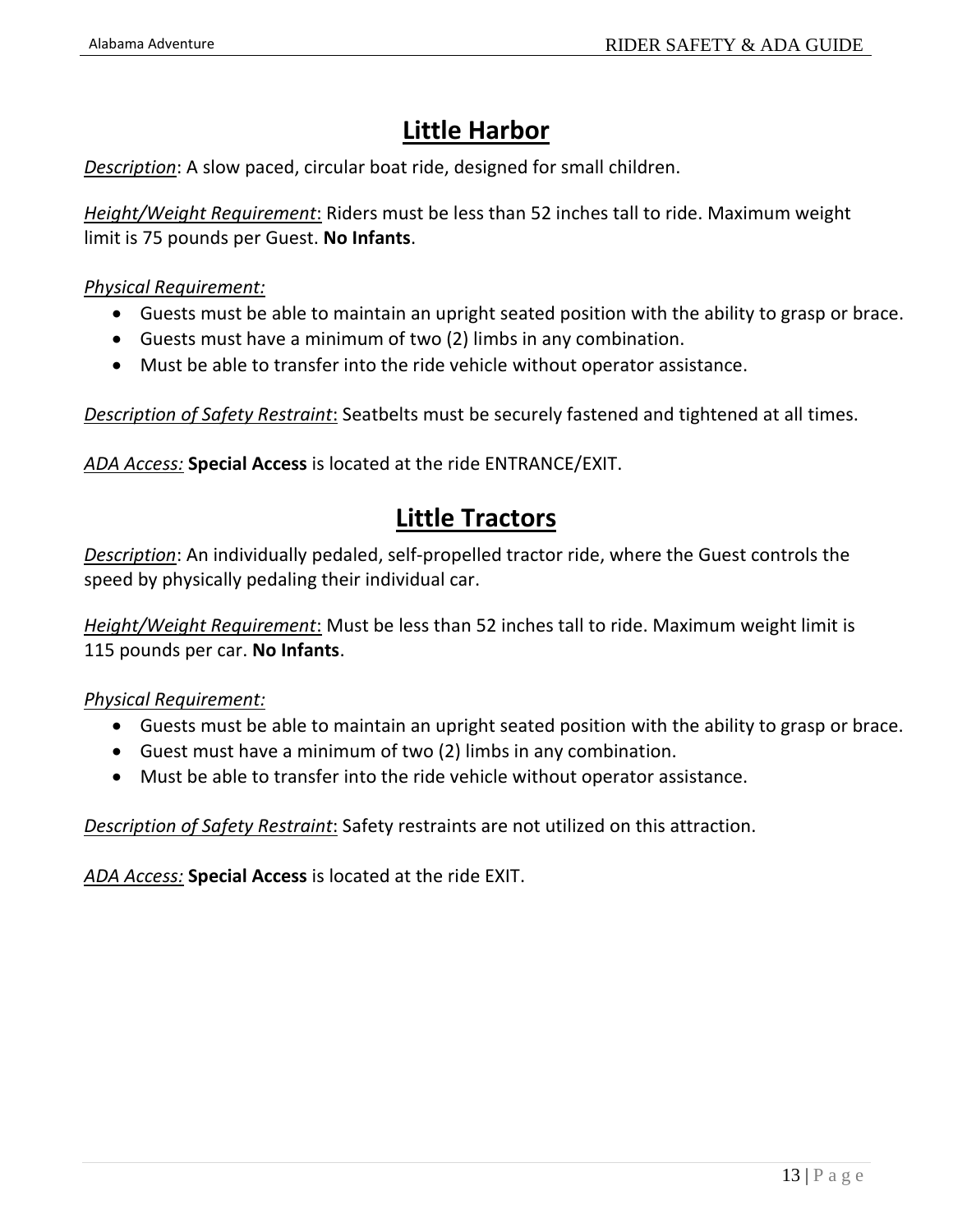## **Little Harbor**

*Description*: A slow paced, circular boat ride, designed for small children.

*Height/Weight Requirement*: Riders must be less than 52 inches tall to ride. Maximum weight limit is 75 pounds per Guest. **No Infants**.

#### *Physical Requirement:*

- Guests must be able to maintain an upright seated position with the ability to grasp or brace.
- Guests must have a minimum of two (2) limbs in any combination.
- Must be able to transfer into the ride vehicle without operator assistance.

*Description of Safety Restraint*: Seatbelts must be securely fastened and tightened at all times.

*ADA Access:* **Special Access** is located at the ride ENTRANCE/EXIT.

### **Little Tractors**

*Description*: An individually pedaled, self-propelled tractor ride, where the Guest controls the speed by physically pedaling their individual car.

*Height/Weight Requirement*: Must be less than 52 inches tall to ride. Maximum weight limit is 115 pounds per car. **No Infants**.

#### *Physical Requirement:*

- Guests must be able to maintain an upright seated position with the ability to grasp or brace.
- Guest must have a minimum of two (2) limbs in any combination.
- Must be able to transfer into the ride vehicle without operator assistance.

*Description of Safety Restraint*: Safety restraints are not utilized on this attraction.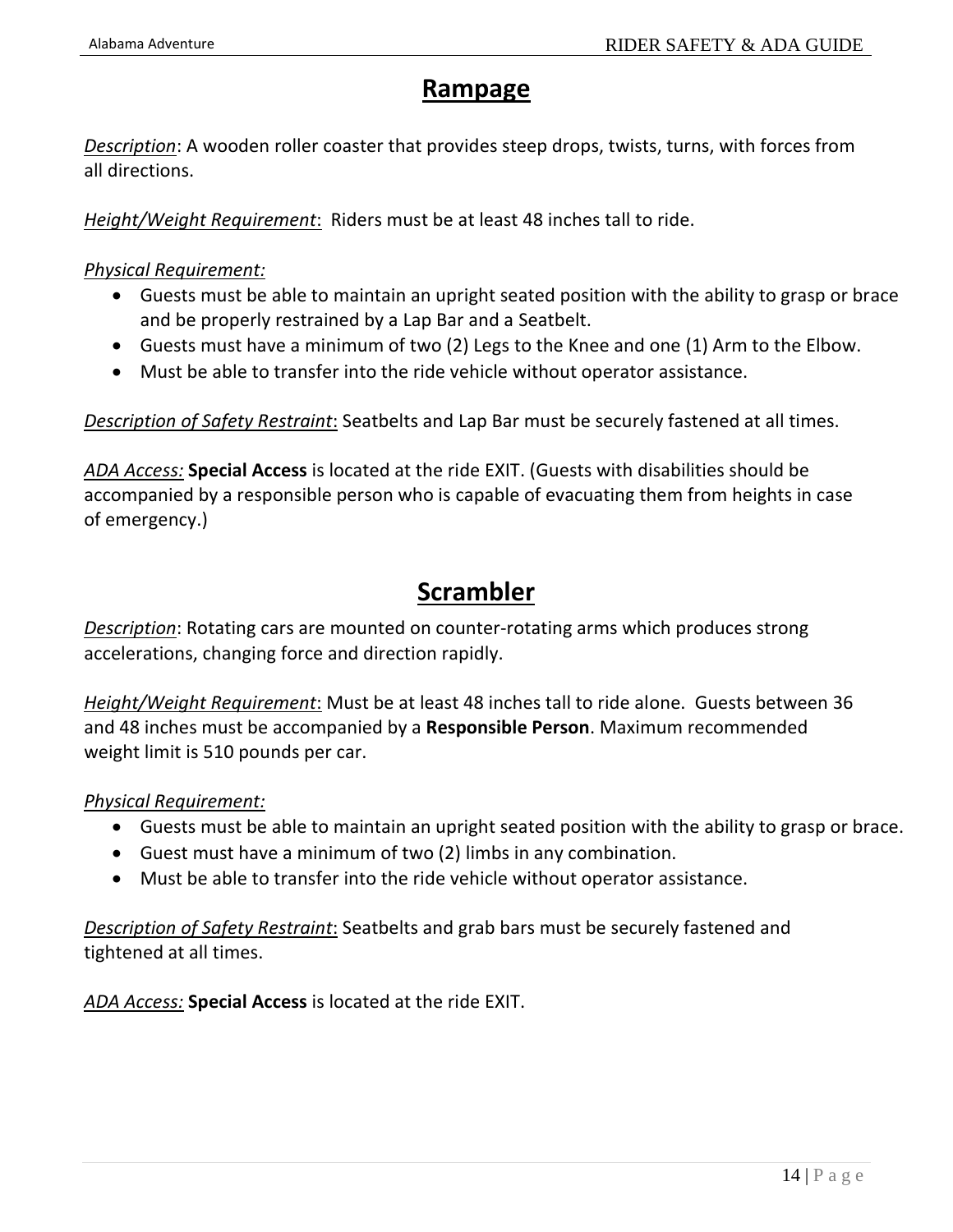### **Rampage**

*Description*: A wooden roller coaster that provides steep drops, twists, turns, with forces from all directions.

*Height/Weight Requirement*: Riders must be at least 48 inches tall to ride.

*Physical Requirement:*

- Guests must be able to maintain an upright seated position with the ability to grasp or brace and be properly restrained by a Lap Bar and a Seatbelt.
- Guests must have a minimum of two (2) Legs to the Knee and one (1) Arm to the Elbow.
- Must be able to transfer into the ride vehicle without operator assistance.

*Description of Safety Restraint*: Seatbelts and Lap Bar must be securely fastened at all times.

*ADA Access:* **Special Access** is located at the ride EXIT. (Guests with disabilities should be accompanied by a responsible person who is capable of evacuating them from heights in case of emergency.)

### **Scrambler**

*Description*: Rotating cars are mounted on counter-rotating arms which produces strong accelerations, changing force and direction rapidly.

*Height/Weight Requirement*: Must be at least 48 inches tall to ride alone. Guests between 36 and 48 inches must be accompanied by a **Responsible Person**. Maximum recommended weight limit is 510 pounds per car.

#### *Physical Requirement:*

- Guests must be able to maintain an upright seated position with the ability to grasp or brace.
- Guest must have a minimum of two (2) limbs in any combination.
- Must be able to transfer into the ride vehicle without operator assistance.

*Description of Safety Restraint*: Seatbelts and grab bars must be securely fastened and tightened at all times.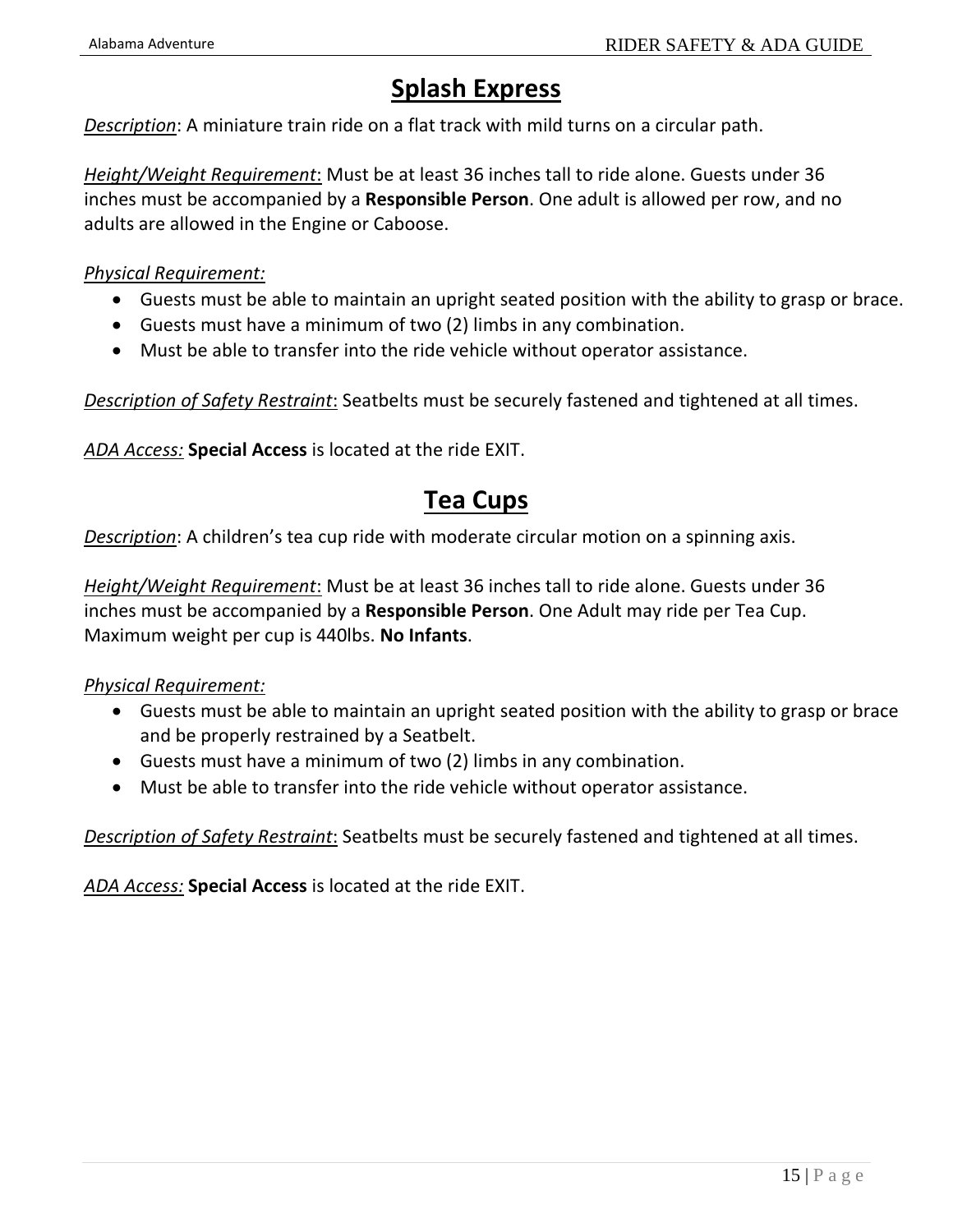## **Splash Express**

*Description*: A miniature train ride on a flat track with mild turns on a circular path.

*Height/Weight Requirement*: Must be at least 36 inches tall to ride alone. Guests under 36 inches must be accompanied by a **Responsible Person**. One adult is allowed per row, and no adults are allowed in the Engine or Caboose.

*Physical Requirement:*

- Guests must be able to maintain an upright seated position with the ability to grasp or brace.
- Guests must have a minimum of two (2) limbs in any combination.
- Must be able to transfer into the ride vehicle without operator assistance.

*Description of Safety Restraint*: Seatbelts must be securely fastened and tightened at all times.

*ADA Access:* **Special Access** is located at the ride EXIT.

### **Tea Cups**

*Description*: A children's tea cup ride with moderate circular motion on a spinning axis.

*Height/Weight Requirement*: Must be at least 36 inches tall to ride alone. Guests under 36 inches must be accompanied by a **Responsible Person**. One Adult may ride per Tea Cup. Maximum weight per cup is 440lbs. **No Infants**.

*Physical Requirement:*

- Guests must be able to maintain an upright seated position with the ability to grasp or brace and be properly restrained by a Seatbelt.
- Guests must have a minimum of two (2) limbs in any combination.
- Must be able to transfer into the ride vehicle without operator assistance.

*Description of Safety Restraint*: Seatbelts must be securely fastened and tightened at all times.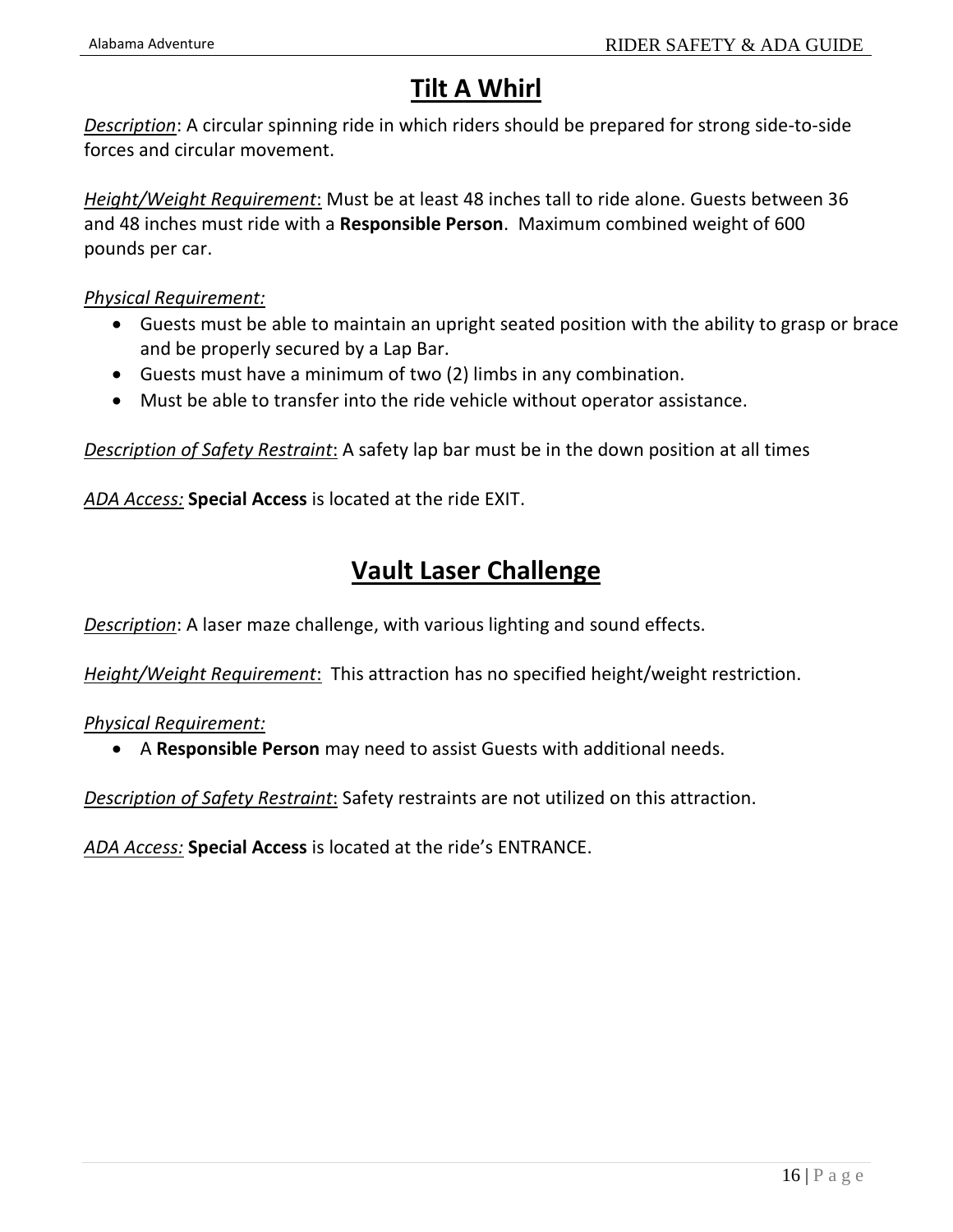## **Tilt A Whirl**

*Description*: A circular spinning ride in which riders should be prepared for strong side-to-side forces and circular movement.

*Height/Weight Requirement*: Must be at least 48 inches tall to ride alone. Guests between 36 and 48 inches must ride with a **Responsible Person**. Maximum combined weight of 600 pounds per car.

*Physical Requirement:*

- Guests must be able to maintain an upright seated position with the ability to grasp or brace and be properly secured by a Lap Bar.
- Guests must have a minimum of two (2) limbs in any combination.
- Must be able to transfer into the ride vehicle without operator assistance.

*Description of Safety Restraint*: A safety lap bar must be in the down position at all times

*ADA Access:* **Special Access** is located at the ride EXIT.

### **Vault Laser Challenge**

*Description*: A laser maze challenge, with various lighting and sound effects.

*Height/Weight Requirement*: This attraction has no specified height/weight restriction.

*Physical Requirement:*

• A **Responsible Person** may need to assist Guests with additional needs.

*Description of Safety Restraint*: Safety restraints are not utilized on this attraction.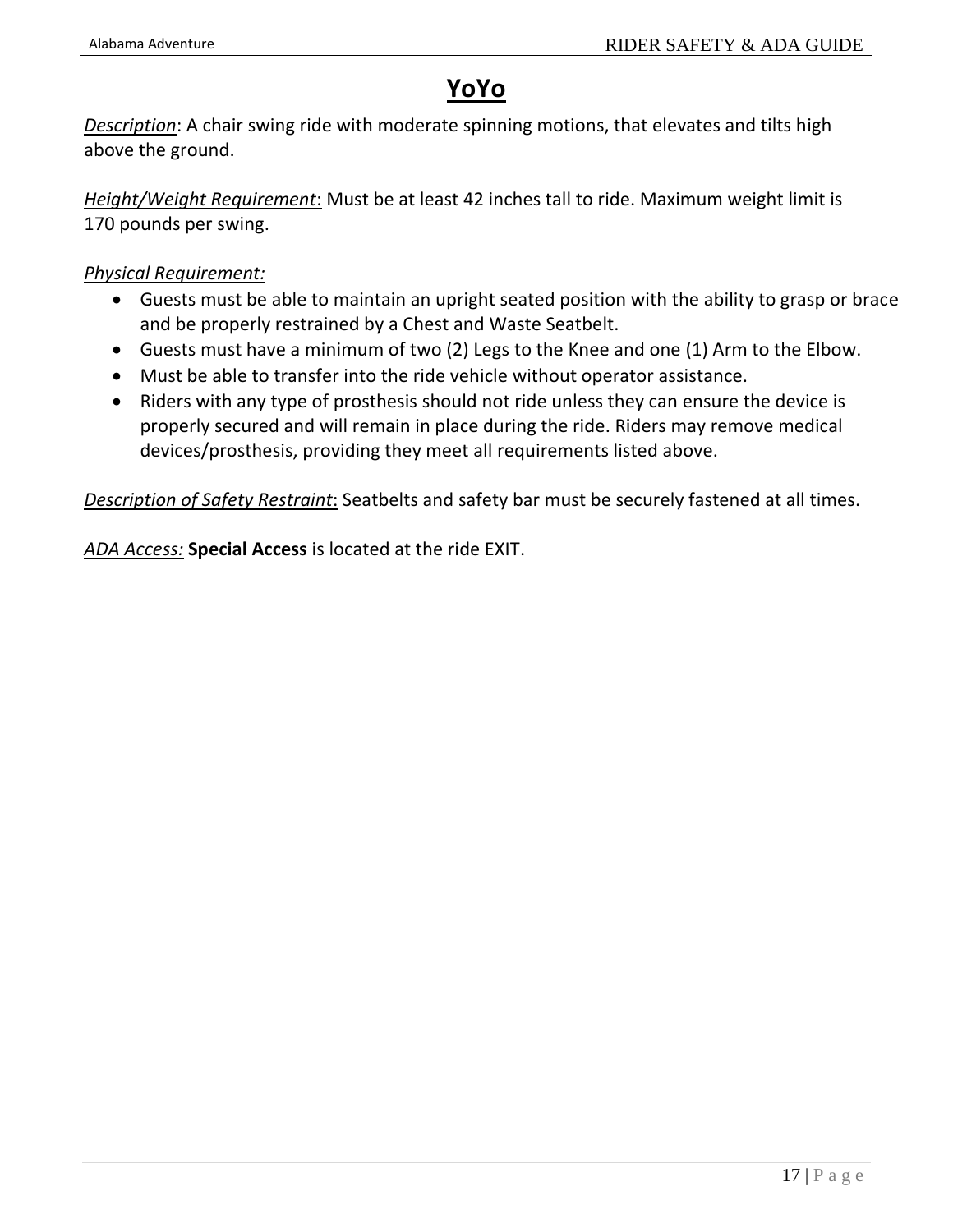## **YoYo**

*Description*: A chair swing ride with moderate spinning motions, that elevates and tilts high above the ground.

*Height/Weight Requirement*: Must be at least 42 inches tall to ride. Maximum weight limit is 170 pounds per swing.

*Physical Requirement:*

- Guests must be able to maintain an upright seated position with the ability to grasp or brace and be properly restrained by a Chest and Waste Seatbelt.
- Guests must have a minimum of two (2) Legs to the Knee and one (1) Arm to the Elbow.
- Must be able to transfer into the ride vehicle without operator assistance.
- Riders with any type of prosthesis should not ride unless they can ensure the device is properly secured and will remain in place during the ride. Riders may remove medical devices/prosthesis, providing they meet all requirements listed above.

*Description of Safety Restraint*: Seatbelts and safety bar must be securely fastened at all times.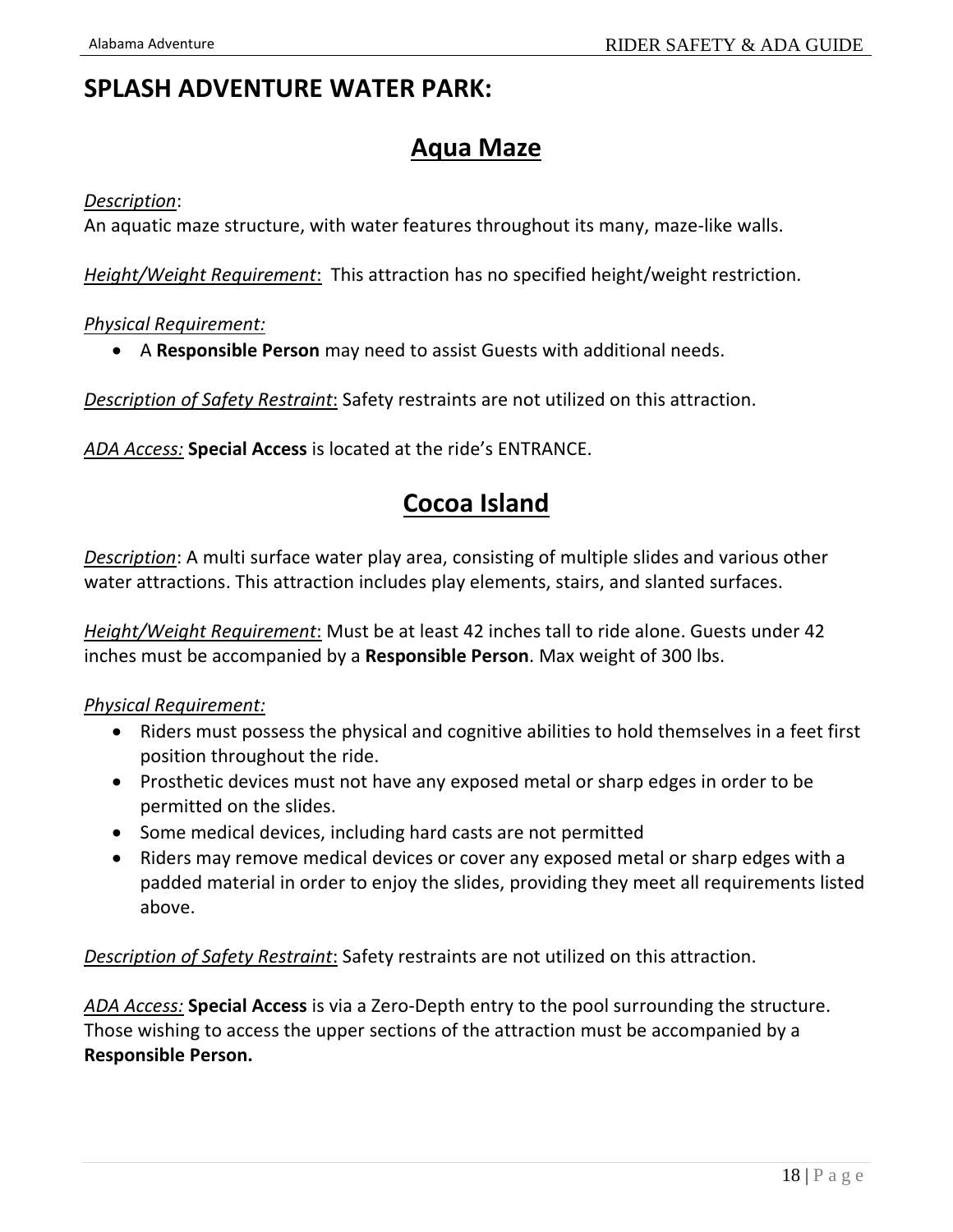### **SPLASH ADVENTURE WATER PARK:**

### **Aqua Maze**

#### *Description*:

An aquatic maze structure, with water features throughout its many, maze-like walls.

*Height/Weight Requirement*: This attraction has no specified height/weight restriction.

#### *Physical Requirement:*

• A **Responsible Person** may need to assist Guests with additional needs.

*Description of Safety Restraint*: Safety restraints are not utilized on this attraction.

*ADA Access:* **Special Access** is located at the ride's ENTRANCE.

### **Cocoa Island**

*Description*: A multi surface water play area, consisting of multiple slides and various other water attractions. This attraction includes play elements, stairs, and slanted surfaces.

*Height/Weight Requirement*: Must be at least 42 inches tall to ride alone. Guests under 42 inches must be accompanied by a **Responsible Person**. Max weight of 300 lbs.

#### *Physical Requirement:*

- Riders must possess the physical and cognitive abilities to hold themselves in a feet first position throughout the ride.
- Prosthetic devices must not have any exposed metal or sharp edges in order to be permitted on the slides.
- Some medical devices, including hard casts are not permitted
- Riders may remove medical devices or cover any exposed metal or sharp edges with a padded material in order to enjoy the slides, providing they meet all requirements listed above.

*Description of Safety Restraint*: Safety restraints are not utilized on this attraction.

*ADA Access:* **Special Access** is via a Zero-Depth entry to the pool surrounding the structure. Those wishing to access the upper sections of the attraction must be accompanied by a **Responsible Person.**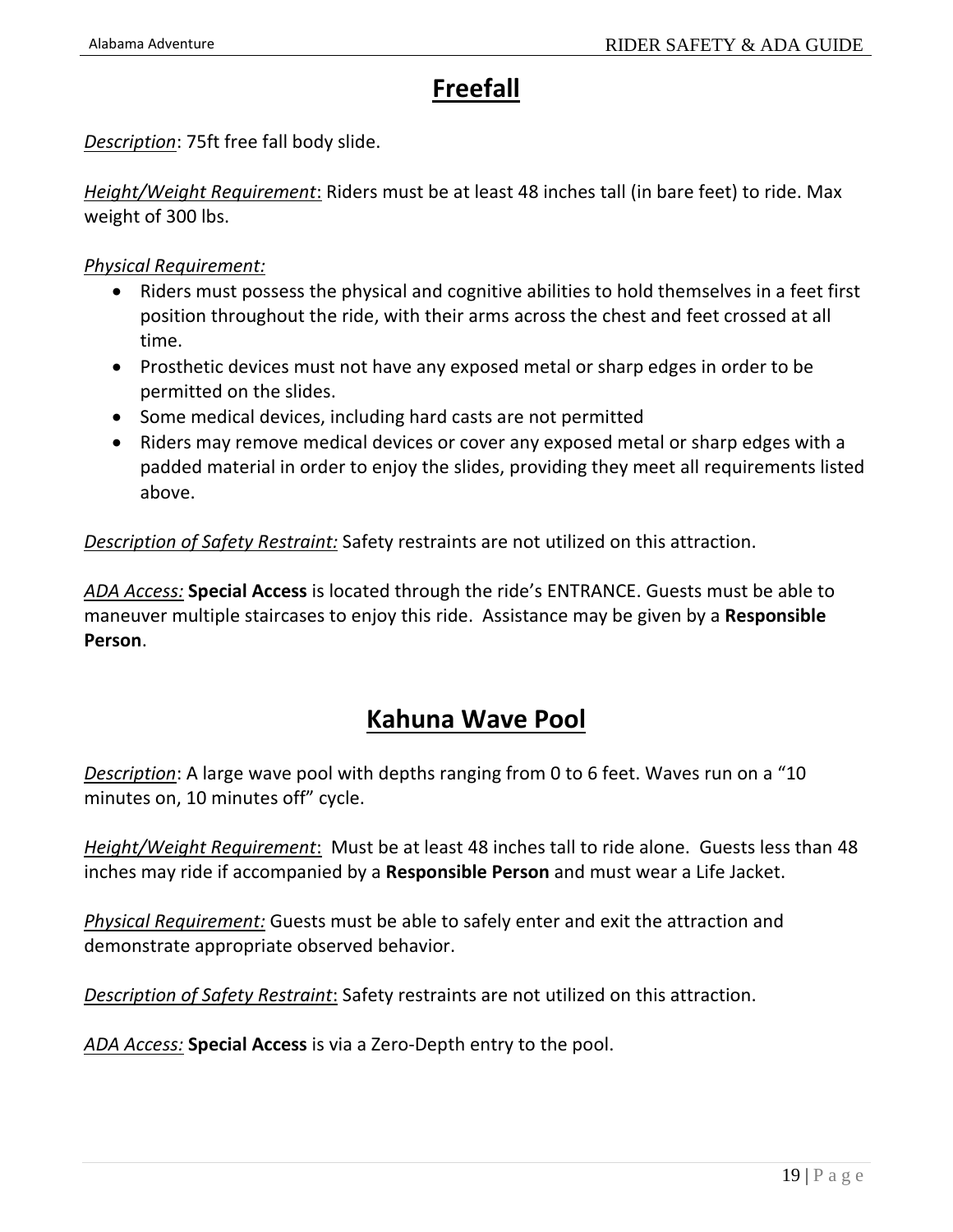## **Freefall**

*Description*: 75ft free fall body slide.

*Height/Weight Requirement*: Riders must be at least 48 inches tall (in bare feet) to ride. Max weight of 300 lbs.

*Physical Requirement:*

- Riders must possess the physical and cognitive abilities to hold themselves in a feet first position throughout the ride, with their arms across the chest and feet crossed at all time.
- Prosthetic devices must not have any exposed metal or sharp edges in order to be permitted on the slides.
- Some medical devices, including hard casts are not permitted
- Riders may remove medical devices or cover any exposed metal or sharp edges with a padded material in order to enjoy the slides, providing they meet all requirements listed above.

*Description of Safety Restraint:* Safety restraints are not utilized on this attraction.

*ADA Access:* **Special Access** is located through the ride's ENTRANCE. Guests must be able to maneuver multiple staircases to enjoy this ride. Assistance may be given by a **Responsible Person**.

### **Kahuna Wave Pool**

*Description*: A large wave pool with depths ranging from 0 to 6 feet. Waves run on a "10 minutes on, 10 minutes off" cycle.

*Height/Weight Requirement*: Must be at least 48 inches tall to ride alone. Guests less than 48 inches may ride if accompanied by a **Responsible Person** and must wear a Life Jacket.

*Physical Requirement:* Guests must be able to safely enter and exit the attraction and demonstrate appropriate observed behavior.

*Description of Safety Restraint*: Safety restraints are not utilized on this attraction.

*ADA Access:* **Special Access** is via a Zero-Depth entry to the pool.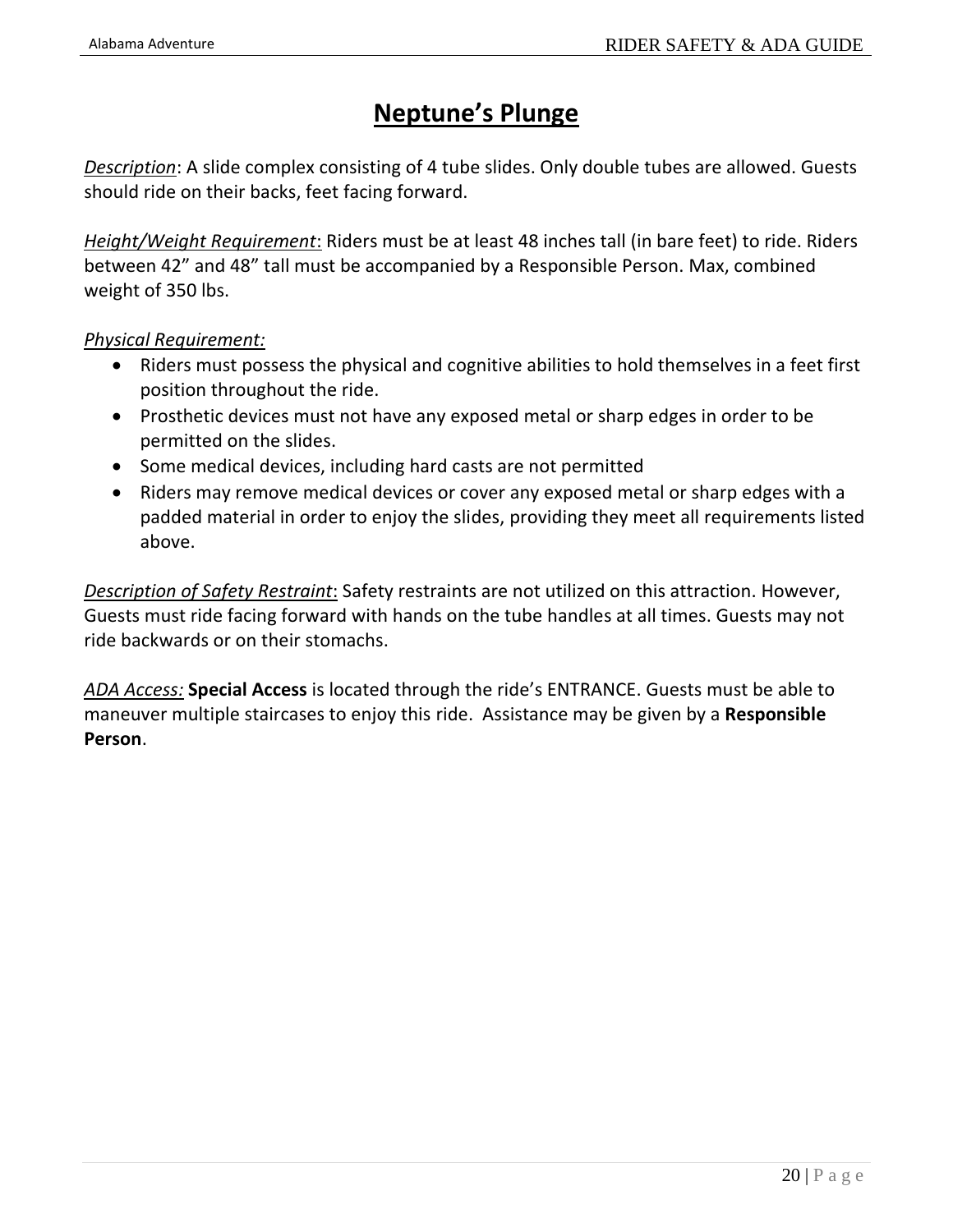### **Neptune's Plunge**

*Description*: A slide complex consisting of 4 tube slides. Only double tubes are allowed. Guests should ride on their backs, feet facing forward.

*Height/Weight Requirement*: Riders must be at least 48 inches tall (in bare feet) to ride. Riders between 42" and 48" tall must be accompanied by a Responsible Person. Max, combined weight of 350 lbs.

#### *Physical Requirement:*

- Riders must possess the physical and cognitive abilities to hold themselves in a feet first position throughout the ride.
- Prosthetic devices must not have any exposed metal or sharp edges in order to be permitted on the slides.
- Some medical devices, including hard casts are not permitted
- Riders may remove medical devices or cover any exposed metal or sharp edges with a padded material in order to enjoy the slides, providing they meet all requirements listed above.

*Description of Safety Restraint*: Safety restraints are not utilized on this attraction. However, Guests must ride facing forward with hands on the tube handles at all times. Guests may not ride backwards or on their stomachs.

*ADA Access:* **Special Access** is located through the ride's ENTRANCE. Guests must be able to maneuver multiple staircases to enjoy this ride. Assistance may be given by a **Responsible Person**.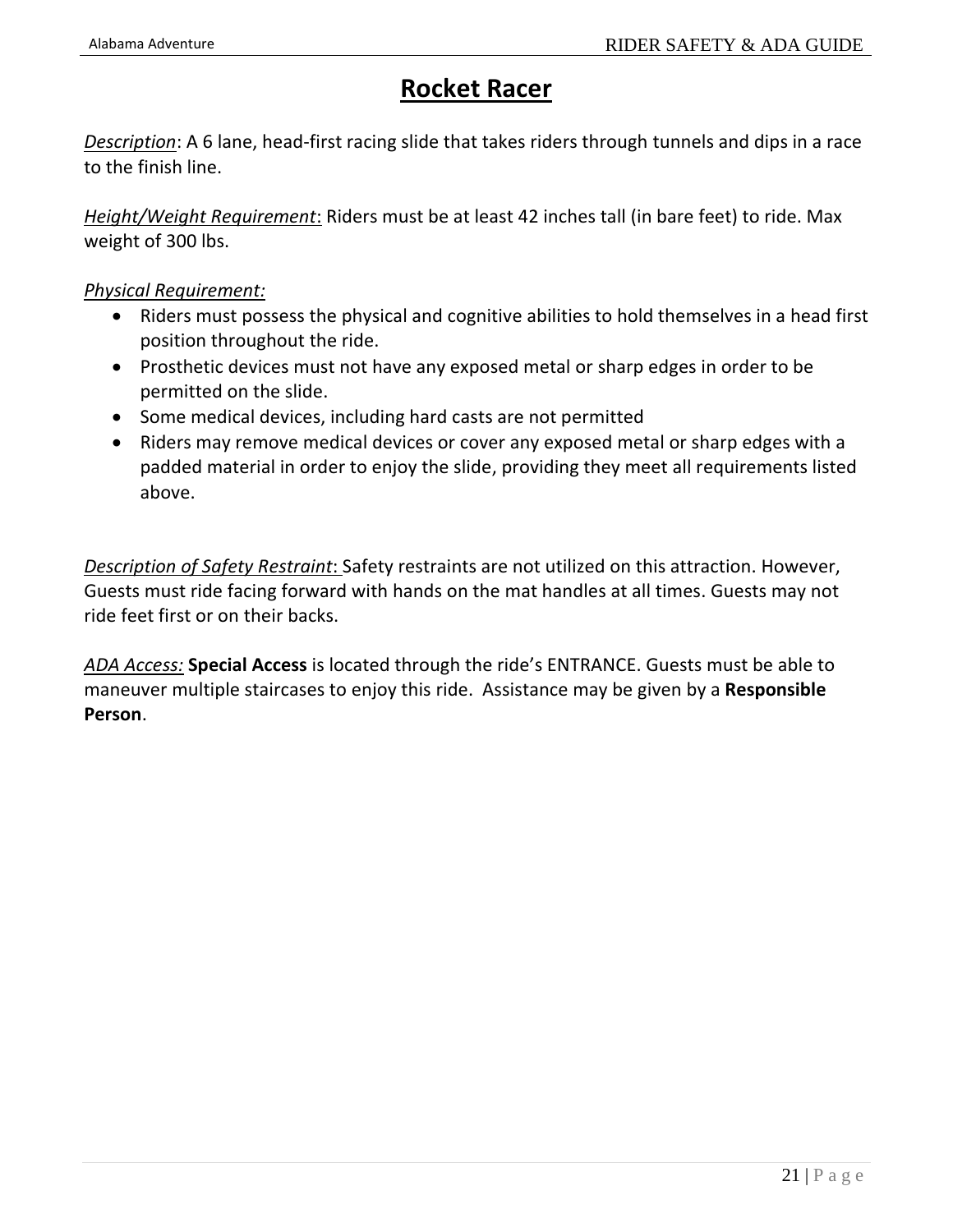## **Rocket Racer**

*Description*: A 6 lane, head-first racing slide that takes riders through tunnels and dips in a race to the finish line.

*Height/Weight Requirement*: Riders must be at least 42 inches tall (in bare feet) to ride. Max weight of 300 lbs.

#### *Physical Requirement:*

- Riders must possess the physical and cognitive abilities to hold themselves in a head first position throughout the ride.
- Prosthetic devices must not have any exposed metal or sharp edges in order to be permitted on the slide.
- Some medical devices, including hard casts are not permitted
- Riders may remove medical devices or cover any exposed metal or sharp edges with a padded material in order to enjoy the slide, providing they meet all requirements listed above.

*Description of Safety Restraint*: Safety restraints are not utilized on this attraction. However, Guests must ride facing forward with hands on the mat handles at all times. Guests may not ride feet first or on their backs.

*ADA Access:* **Special Access** is located through the ride's ENTRANCE. Guests must be able to maneuver multiple staircases to enjoy this ride. Assistance may be given by a **Responsible Person**.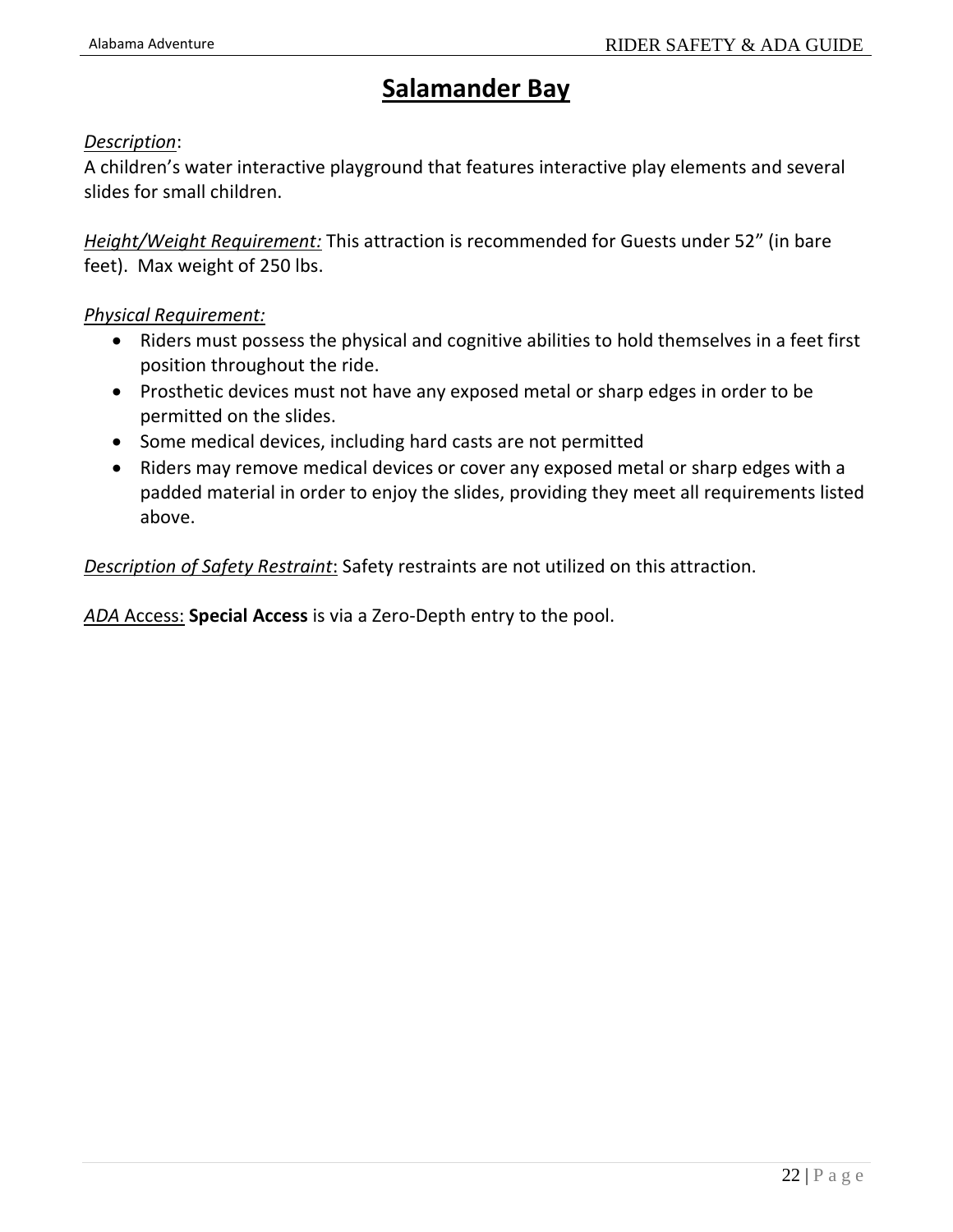## **Salamander Bay**

#### *Description*:

A children's water interactive playground that features interactive play elements and several slides for small children.

*Height/Weight Requirement:* This attraction is recommended for Guests under 52" (in bare feet). Max weight of 250 lbs.

#### *Physical Requirement:*

- Riders must possess the physical and cognitive abilities to hold themselves in a feet first position throughout the ride.
- Prosthetic devices must not have any exposed metal or sharp edges in order to be permitted on the slides.
- Some medical devices, including hard casts are not permitted
- Riders may remove medical devices or cover any exposed metal or sharp edges with a padded material in order to enjoy the slides, providing they meet all requirements listed above.

*Description of Safety Restraint*: Safety restraints are not utilized on this attraction.

*ADA* Access: **Special Access** is via a Zero-Depth entry to the pool.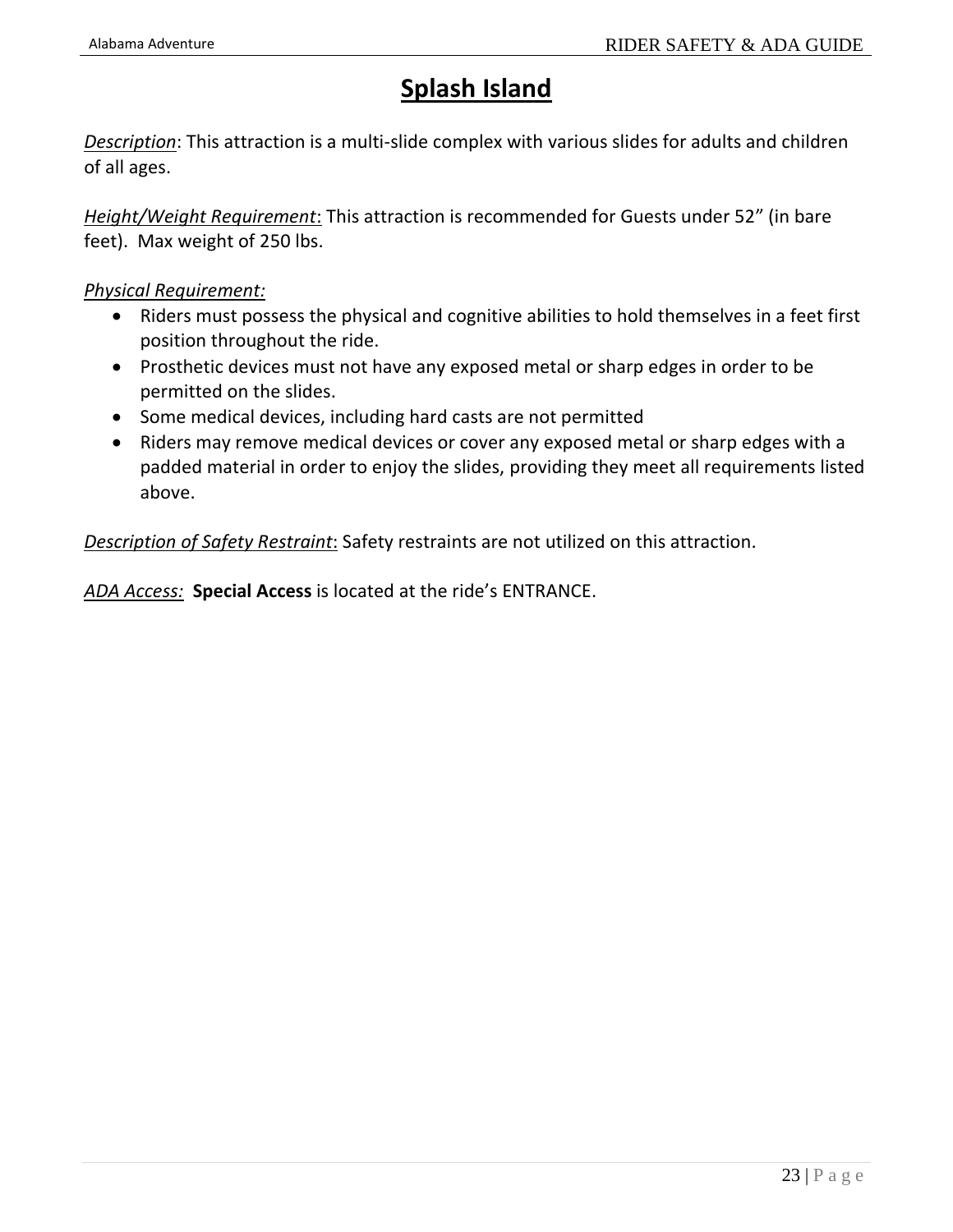## **Splash Island**

*Description*: This attraction is a multi-slide complex with various slides for adults and children of all ages.

*Height/Weight Requirement*: This attraction is recommended for Guests under 52" (in bare feet). Max weight of 250 lbs.

#### *Physical Requirement:*

- Riders must possess the physical and cognitive abilities to hold themselves in a feet first position throughout the ride.
- Prosthetic devices must not have any exposed metal or sharp edges in order to be permitted on the slides.
- Some medical devices, including hard casts are not permitted
- Riders may remove medical devices or cover any exposed metal or sharp edges with a padded material in order to enjoy the slides, providing they meet all requirements listed above.

*Description of Safety Restraint*: Safety restraints are not utilized on this attraction.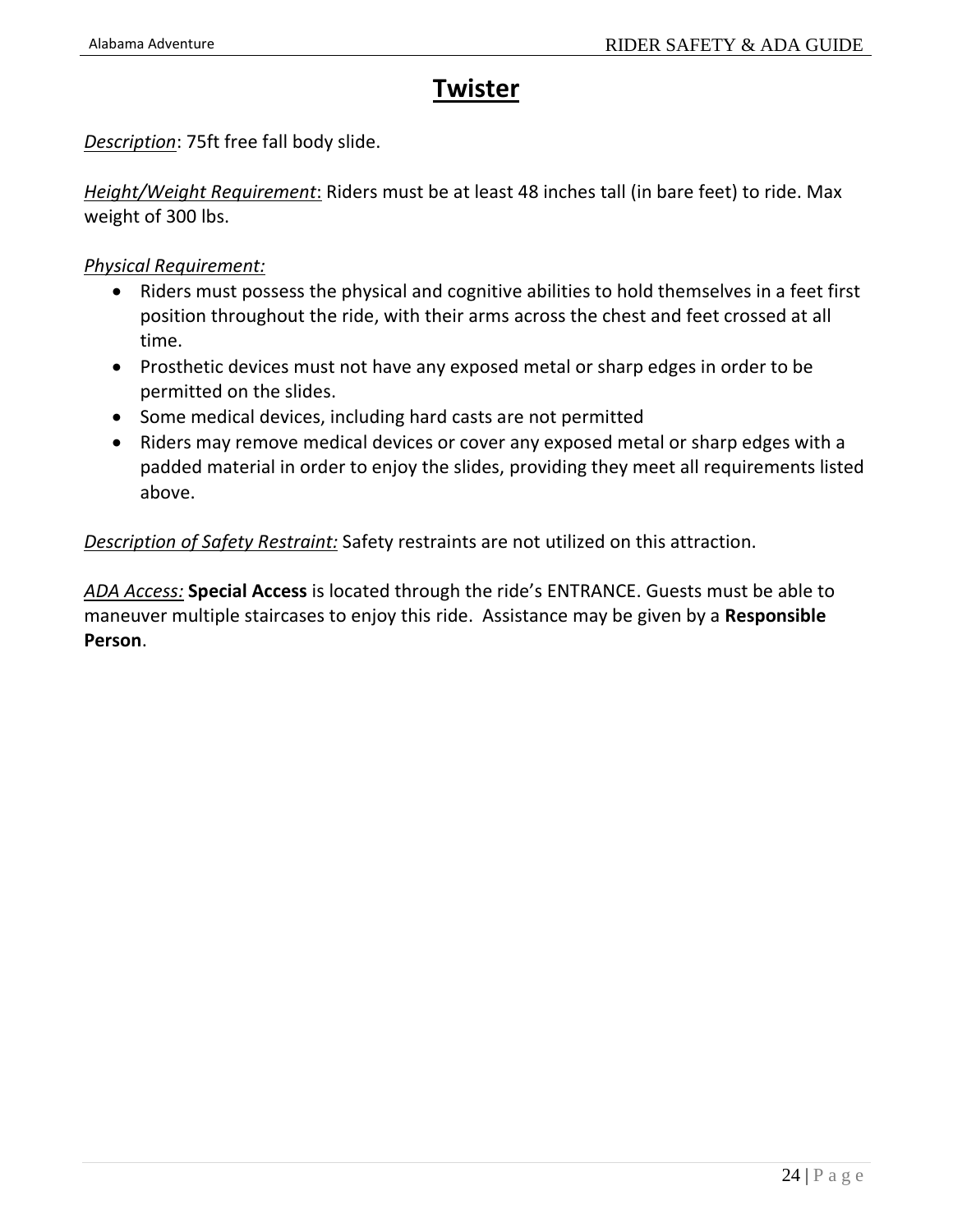### **Twister**

*Description*: 75ft free fall body slide.

*Height/Weight Requirement*: Riders must be at least 48 inches tall (in bare feet) to ride. Max weight of 300 lbs.

*Physical Requirement:*

- Riders must possess the physical and cognitive abilities to hold themselves in a feet first position throughout the ride, with their arms across the chest and feet crossed at all time.
- Prosthetic devices must not have any exposed metal or sharp edges in order to be permitted on the slides.
- Some medical devices, including hard casts are not permitted
- Riders may remove medical devices or cover any exposed metal or sharp edges with a padded material in order to enjoy the slides, providing they meet all requirements listed above.

*Description of Safety Restraint:* Safety restraints are not utilized on this attraction.

*ADA Access:* **Special Access** is located through the ride's ENTRANCE. Guests must be able to maneuver multiple staircases to enjoy this ride. Assistance may be given by a **Responsible Person**.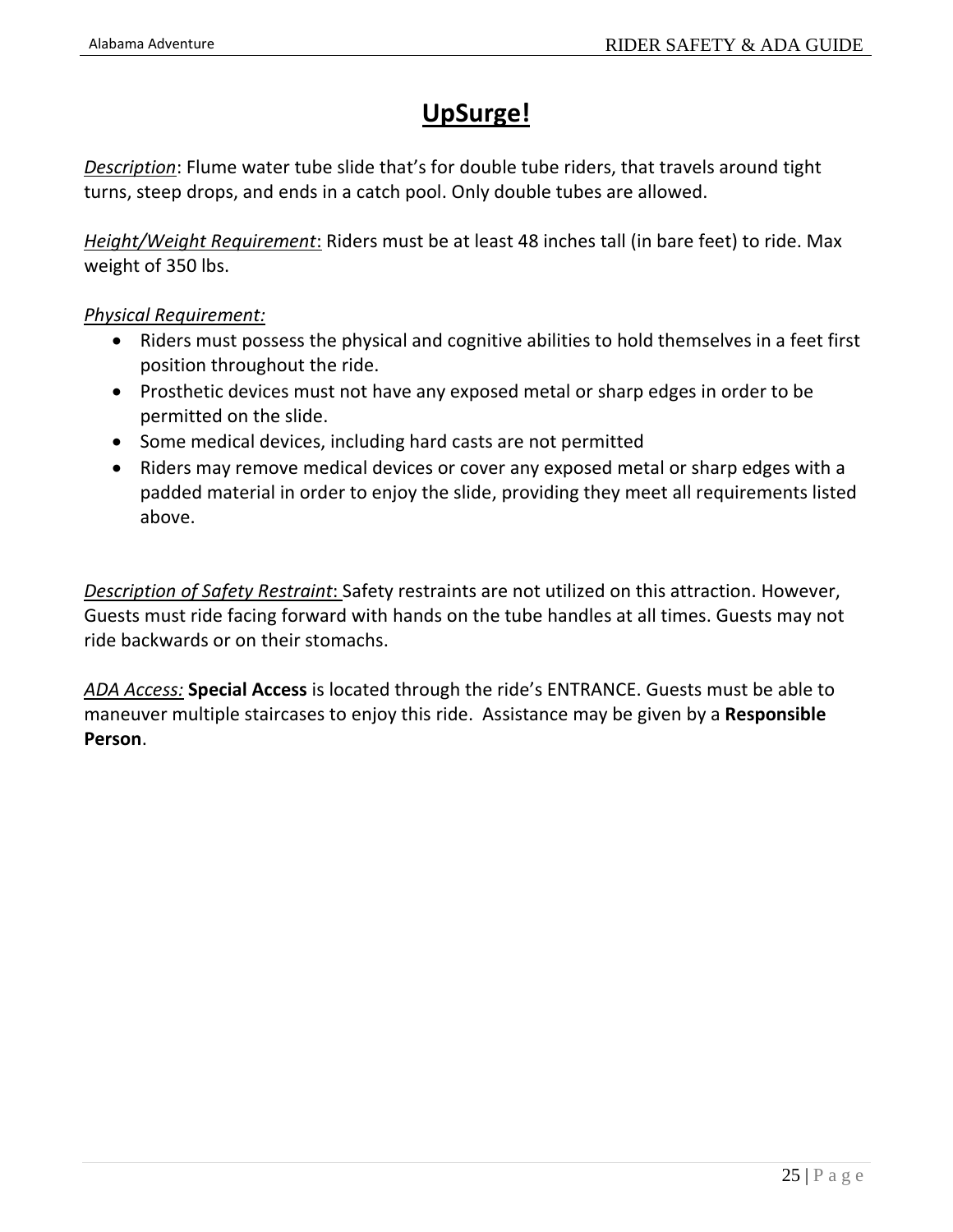## **UpSurge!**

*Description*: Flume water tube slide that's for double tube riders, that travels around tight turns, steep drops, and ends in a catch pool. Only double tubes are allowed.

*Height/Weight Requirement*: Riders must be at least 48 inches tall (in bare feet) to ride. Max weight of 350 lbs.

#### *Physical Requirement:*

- Riders must possess the physical and cognitive abilities to hold themselves in a feet first position throughout the ride.
- Prosthetic devices must not have any exposed metal or sharp edges in order to be permitted on the slide.
- Some medical devices, including hard casts are not permitted
- Riders may remove medical devices or cover any exposed metal or sharp edges with a padded material in order to enjoy the slide, providing they meet all requirements listed above.

*Description of Safety Restraint*: Safety restraints are not utilized on this attraction. However, Guests must ride facing forward with hands on the tube handles at all times. Guests may not ride backwards or on their stomachs.

*ADA Access:* **Special Access** is located through the ride's ENTRANCE. Guests must be able to maneuver multiple staircases to enjoy this ride. Assistance may be given by a **Responsible Person**.